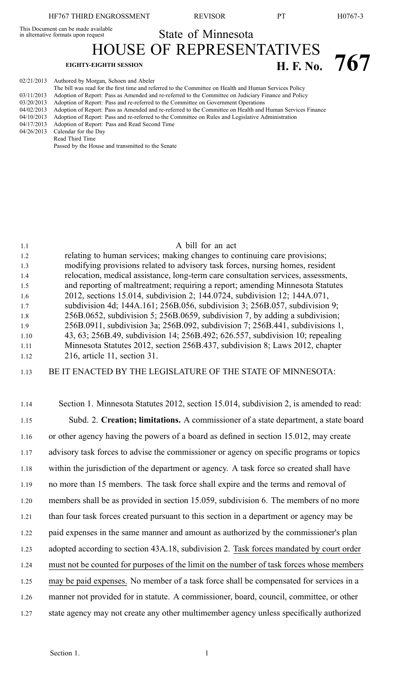This Document can be made available

In alternative formats upon request State of Minnesota

HOUSE OF REPRESENTATIVES

# **EIGHTY-EIGHTH SESSION H. F. No. 767**

| 02/21/2013 | Authored by Morgan, Schoen and Abeler                                                                     |
|------------|-----------------------------------------------------------------------------------------------------------|
|            | The bill was read for the first time and referred to the Committee on Health and Human Services Policy    |
| 03/11/2013 | Adoption of Report: Pass as Amended and re-referred to the Committee on Judiciary Finance and Policy      |
| 03/20/2013 | Adoption of Report: Pass and re-referred to the Committee on Government Operations                        |
| 04/02/2013 | Adoption of Report: Pass as Amended and re-referred to the Committee on Health and Human Services Finance |
| 04/10/2013 | Adoption of Report: Pass and re-referred to the Committee on Rules and Legislative Administration         |
| 04/17/2013 | Adoption of Report: Pass and Read Second Time                                                             |
| 04/26/2013 | Calendar for the Day                                                                                      |
|            | Read Third Time                                                                                           |
|            |                                                                                                           |

Passed by the House and transmitted to the Senate

# 1.1 A bill for an act 1.2 relating to human services; making changes to continuing care provisions; 1.3 modifying provisions related to advisory task forces, nursing homes, resident 1.4 relocation, medical assistance, long-term care consultation services, assessments, 1.5 and reporting of maltreatment; requiring <sup>a</sup> report; amending Minnesota Statutes 1.6 2012, sections 15.014, subdivision 2; 144.0724, subdivision 12; 144A.071, 1.7 subdivision 4d; 144A.161; 256B.056, subdivision 3; 256B.057, subdivision 9; 1.8 256B.0652, subdivision 5; 256B.0659, subdivision 7, by adding <sup>a</sup> subdivision; 1.9 256B.0911, subdivision 3a; 256B.092, subdivision 7; 256B.441, subdivisions 1, 1.10 43, 63; 256B.49, subdivision 14; 256B.492; 626.557, subdivision 10; repealing 1.11 Minnesota Statutes 2012, section 256B.437, subdivision 8; Laws 2012, chapter 1.12 216, article 11, section 31.

# 1.13 BE IT ENACTED BY THE LEGISLATURE OF THE STATE OF MINNESOTA:

1.14 Section 1. Minnesota Statutes 2012, section 15.014, subdivision 2, is amended to read: 1.15 Subd. 2. **Creation; limitations.** A commissioner of <sup>a</sup> state department, <sup>a</sup> state board 1.16 or other agency having the powers of <sup>a</sup> board as defined in section 15.012, may create 1.17 advisory task forces to advise the commissioner or agency on specific programs or topics 1.18 within the jurisdiction of the department or agency. A task force so created shall have 1.19 no more than 15 members. The task force shall expire and the terms and removal of 1.20 members shall be as provided in section 15.059, subdivision 6. The members of no more 1.21 than four task forces created pursuan<sup>t</sup> to this section in <sup>a</sup> department or agency may be 1.22 paid expenses in the same manner and amount as authorized by the commissioner's plan 1.23 adopted according to section 43A.18, subdivision 2. Task forces mandated by court order 1.24 must not be counted for purposes of the limit on the number of task forces whose members 1.25 may be paid expenses. No member of <sup>a</sup> task force shall be compensated for services in <sup>a</sup> 1.26 manner not provided for in statute. A commissioner, board, council, committee, or other 1.27 state agency may not create any other multimember agency unless specifically authorized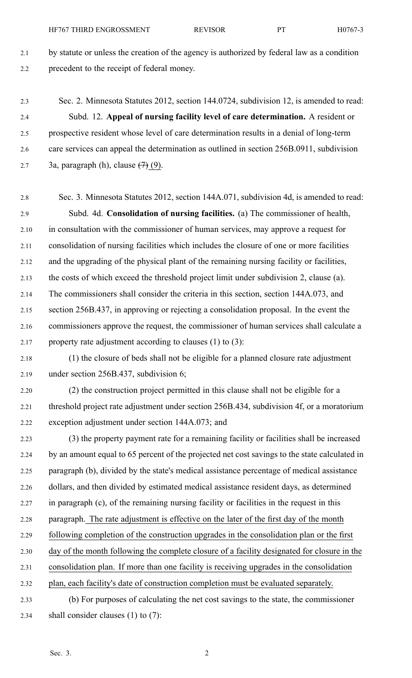2.1 by statute or unless the creation of the agency is authorized by federal law as <sup>a</sup> condition 2.2 precedent to the receipt of federal money.

2.3 Sec. 2. Minnesota Statutes 2012, section 144.0724, subdivision 12, is amended to read: 2.4 Subd. 12. **Appeal of nursing facility level of care determination.** A resident or 2.5 prospective resident whose level of care determination results in <sup>a</sup> denial of long-term 2.6 care services can appeal the determination as outlined in section 256B.0911, subdivision 2.7 3a, paragraph (h), clause  $(7)(9)$ .

2.8 Sec. 3. Minnesota Statutes 2012, section 144A.071, subdivision 4d, is amended to read: 2.9 Subd. 4d. **Consolidation of nursing facilities.** (a) The commissioner of health, 2.10 in consultation with the commissioner of human services, may approve <sup>a</sup> reques<sup>t</sup> for 2.11 consolidation of nursing facilities which includes the closure of one or more facilities 2.12 and the upgrading of the physical plant of the remaining nursing facility or facilities, 2.13 the costs of which exceed the threshold project limit under subdivision 2, clause (a). 2.14 The commissioners shall consider the criteria in this section, section 144A.073, and 2.15 section 256B.437, in approving or rejecting <sup>a</sup> consolidation proposal. In the event the 2.16 commissioners approve the request, the commissioner of human services shall calculate <sup>a</sup> 2.17 property rate adjustment according to clauses  $(1)$  to  $(3)$ :

2.18 (1) the closure of beds shall not be eligible for <sup>a</sup> planned closure rate adjustment 2.19 under section 256B.437, subdivision 6;

2.20 (2) the construction project permitted in this clause shall not be eligible for <sup>a</sup> 2.21 threshold project rate adjustment under section 256B.434, subdivision 4f, or <sup>a</sup> moratorium 2.22 exception adjustment under section 144A.073; and

2.23 (3) the property paymen<sup>t</sup> rate for <sup>a</sup> remaining facility or facilities shall be increased 2.24 by an amount equal to 65 percen<sup>t</sup> of the projected net cost savings to the state calculated in 2.25 paragraph (b), divided by the state's medical assistance percentage of medical assistance 2.26 dollars, and then divided by estimated medical assistance resident days, as determined 2.27 in paragraph (c), of the remaining nursing facility or facilities in the reques<sup>t</sup> in this 2.28 paragraph. The rate adjustment is effective on the later of the first day of the month 2.29 following completion of the construction upgrades in the consolidation plan or the first 2.30 day of the month following the complete closure of <sup>a</sup> facility designated for closure in the 2.31 consolidation plan. If more than one facility is receiving upgrades in the consolidation 2.32 plan, each facility's date of construction completion must be evaluated separately. 2.33 (b) For purposes of calculating the net cost savings to the state, the commissioner 2.34 shall consider clauses (1) to (7):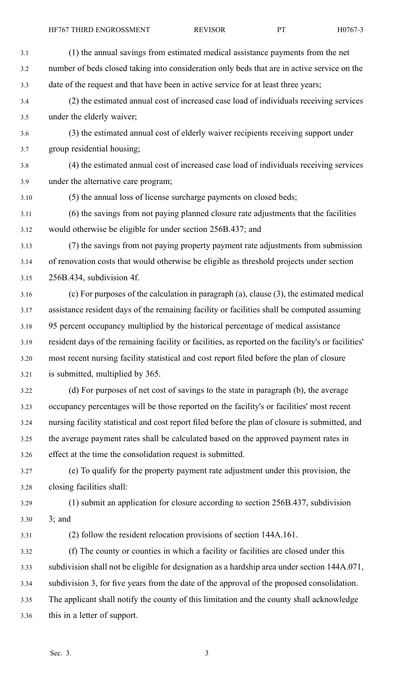| 3.1  | (1) the annual savings from estimated medical assistance payments from the net                      |
|------|-----------------------------------------------------------------------------------------------------|
| 3.2  | number of beds closed taking into consideration only beds that are in active service on the         |
| 3.3  | date of the request and that have been in active service for at least three years;                  |
| 3.4  | (2) the estimated annual cost of increased case load of individuals receiving services              |
| 3.5  | under the elderly waiver;                                                                           |
| 3.6  | (3) the estimated annual cost of elderly waiver recipients receiving support under                  |
| 3.7  | group residential housing;                                                                          |
| 3.8  | (4) the estimated annual cost of increased case load of individuals receiving services              |
| 3.9  | under the alternative care program;                                                                 |
| 3.10 | (5) the annual loss of license surcharge payments on closed beds;                                   |
| 3.11 | (6) the savings from not paying planned closure rate adjustments that the facilities                |
| 3.12 | would otherwise be eligible for under section 256B.437; and                                         |
| 3.13 | (7) the savings from not paying property payment rate adjustments from submission                   |
| 3.14 | of renovation costs that would otherwise be eligible as threshold projects under section            |
| 3.15 | 256B.434, subdivision 4f.                                                                           |
| 3.16 | (c) For purposes of the calculation in paragraph (a), clause (3), the estimated medical             |
| 3.17 | assistance resident days of the remaining facility or facilities shall be computed assuming         |
| 3.18 | 95 percent occupancy multiplied by the historical percentage of medical assistance                  |
| 3.19 | resident days of the remaining facility or facilities, as reported on the facility's or facilities' |
| 3.20 | most recent nursing facility statistical and cost report filed before the plan of closure           |
| 3.21 | is submitted, multiplied by 365.                                                                    |
| 3.22 | (d) For purposes of net cost of savings to the state in paragraph (b), the average                  |
| 3.23 | occupancy percentages will be those reported on the facility's or facilities' most recent           |
| 3.24 | nursing facility statistical and cost report filed before the plan of closure is submitted, and     |
| 3.25 | the average payment rates shall be calculated based on the approved payment rates in                |
| 3.26 | effect at the time the consolidation request is submitted.                                          |
| 3.27 | (e) To qualify for the property payment rate adjustment under this provision, the                   |
| 3.28 | closing facilities shall:                                                                           |
| 3.29 | (1) submit an application for closure according to section 256B.437, subdivision                    |
| 3.30 | $3;$ and                                                                                            |
| 3.31 | (2) follow the resident relocation provisions of section 144A.161.                                  |
| 3.32 | (f) The county or counties in which a facility or facilities are closed under this                  |
| 3.33 | subdivision shall not be eligible for designation as a hardship area under section 144A.071,        |
| 3.34 | subdivision 3, for five years from the date of the approval of the proposed consolidation.          |
| 3.35 | The applicant shall notify the county of this limitation and the county shall acknowledge           |
| 3.36 | this in a letter of support.                                                                        |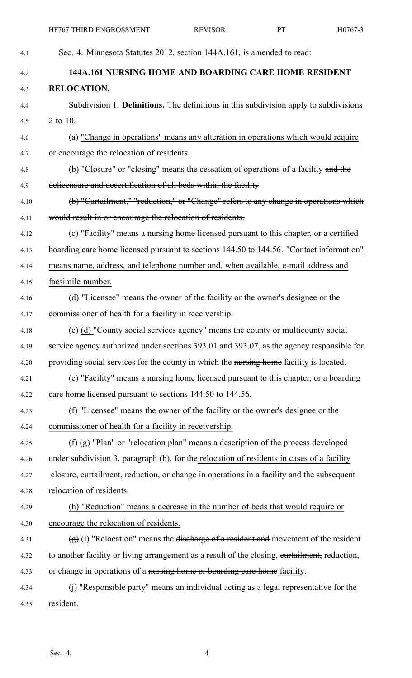| 4.1  | Sec. 4. Minnesota Statutes 2012, section 144A.161, is amended to read:                        |
|------|-----------------------------------------------------------------------------------------------|
| 4.2  | 144A.161 NURSING HOME AND BOARDING CARE HOME RESIDENT                                         |
| 4.3  | <b>RELOCATION.</b>                                                                            |
| 4.4  | Subdivision 1. Definitions. The definitions in this subdivision apply to subdivisions         |
| 4.5  | 2 to 10.                                                                                      |
| 4.6  | (a) "Change in operations" means any alteration in operations which would require             |
| 4.7  | or encourage the relocation of residents.                                                     |
| 4.8  | (b) "Closure" or "closing" means the cessation of operations of a facility and the            |
| 4.9  | delicensure and decertification of all beds within the facility.                              |
| 4.10 | (b) "Curtailment," "reduction," or "Change" refers to any change in operations which          |
| 4.11 | would result in or encourage the relocation of residents.                                     |
| 4.12 | (c) "Facility" means a nursing home licensed pursuant to this chapter, or a certified         |
| 4.13 | boarding care home licensed pursuant to sections 144.50 to 144.56. "Contact information"      |
| 4.14 | means name, address, and telephone number and, when available, e-mail address and             |
| 4.15 | facsimile number.                                                                             |
| 4.16 | (d) "Licensee" means the owner of the facility or the owner's designee or the                 |
| 4.17 | commissioner of health for a facility in receivership.                                        |
| 4.18 | $(e)$ (d) "County social services agency" means the county or multicounty social              |
| 4.19 | service agency authorized under sections 393.01 and 393.07, as the agency responsible for     |
| 4.20 | providing social services for the county in which the nursing home facility is located.       |
| 4.21 | (e) "Facility" means a nursing home licensed pursuant to this chapter, or a boarding          |
| 4.22 | care home licensed pursuant to sections 144.50 to 144.56.                                     |
| 4.23 | (f) "Licensee" means the owner of the facility or the owner's designee or the                 |
| 4.24 | commissioner of health for a facility in receivership.                                        |
| 4.25 | $(\text{f})$ (g) "Plan" or "relocation plan" means a description of the process developed     |
| 4.26 | under subdivision 3, paragraph (b), for the relocation of residents in cases of a facility    |
| 4.27 | closure, eurtailment, reduction, or change in operations in a facility and the subsequent     |
| 4.28 | relocation of residents.                                                                      |
| 4.29 | (h) "Reduction" means a decrease in the number of beds that would require or                  |
| 4.30 | encourage the relocation of residents.                                                        |
| 4.31 | $(g)$ (i) "Relocation" means the discharge of a resident and movement of the resident         |
| 4.32 | to another facility or living arrangement as a result of the closing, eurtailment, reduction, |
| 4.33 | or change in operations of a nursing home or boarding care home facility.                     |
| 4.34 | "Responsible party" means an individual acting as a legal representative for the<br>(i)       |
| 4.35 | resident.                                                                                     |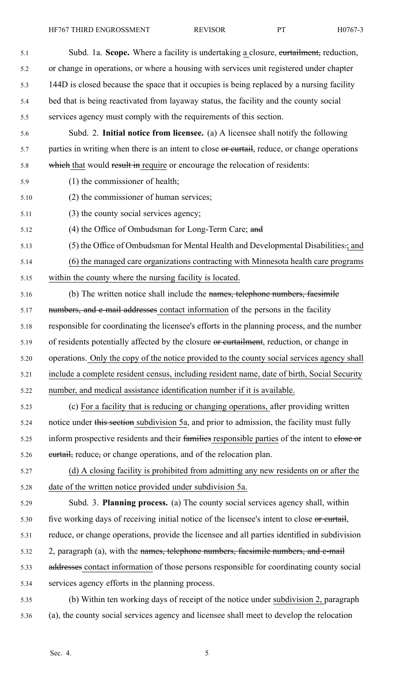HF767 THIRD ENGROSSMENT REVISOR PT H0767-3

5.1 Subd. 1a. **Scope.** Where <sup>a</sup> facility is undertaking <sup>a</sup> closure, curtailment, reduction, 5.2 or change in operations, or where <sup>a</sup> housing with services unit registered under chapter 5.3 144D is closed because the space that it occupies is being replaced by <sup>a</sup> nursing facility 5.4 bed that is being reactivated from layaway status, the facility and the county social 5.5 services agency must comply with the requirements of this section. 5.6 Subd. 2. **Initial notice from licensee.** (a) A licensee shall notify the following 5.7 parties in writing when there is an intent to close or curtail, reduce, or change operations 5.8 which that would result in require or encourage the relocation of residents: 5.9 (1) the commissioner of health; 5.10 (2) the commissioner of human services; 5.11 (3) the county social services agency; 5.12 (4) the Office of Ombudsman for Long-Term Care; and 5.13 (5) the Office of Ombudsman for Mental Health and Developmental Disabilities.; and 5.14 (6) the managed care organizations contracting with Minnesota health care programs 5.15 within the county where the nursing facility is located. 5.16 (b) The written notice shall include the names, telephone numbers, facsimile 5.17 mumbers, and e-mail addresses contact information of the persons in the facility 5.18 responsible for coordinating the licensee's efforts in the planning process, and the number 5.19 of residents potentially affected by the closure or curtailment, reduction, or change in 5.20 operations. Only the copy of the notice provided to the county social services agency shall 5.21 include <sup>a</sup> complete resident census, including resident name, date of birth, Social Security 5.22 number, and medical assistance identification number if it is available. 5.23 (c) For <sup>a</sup> facility that is reducing or changing operations, after providing written 5.24 notice under this section subdivision 5a, and prior to admission, the facility must fully 5.25 inform prospective residents and their families responsible parties of the intent to elose or 5.26 eurtail, reduce, or change operations, and of the relocation plan. 5.27 (d) A closing facility is prohibited from admitting any new residents on or after the 5.28 date of the written notice provided under subdivision 5a. 5.29 Subd. 3. **Planning process.** (a) The county social services agency shall, within 5.30 five working days of receiving initial notice of the licensee's intent to close or curtail, 5.31 reduce, or change operations, provide the licensee and all parties identified in subdivision 5.32 2, paragraph (a), with the names, telephone numbers, facsimile numbers, and e-mail 5.33 addresses contact information of those persons responsible for coordinating county social 5.34 services agency efforts in the planning process. 5.35 (b) Within ten working days of receipt of the notice under subdivision 2, paragraph 5.36 (a), the county social services agency and licensee shall meet to develop the relocation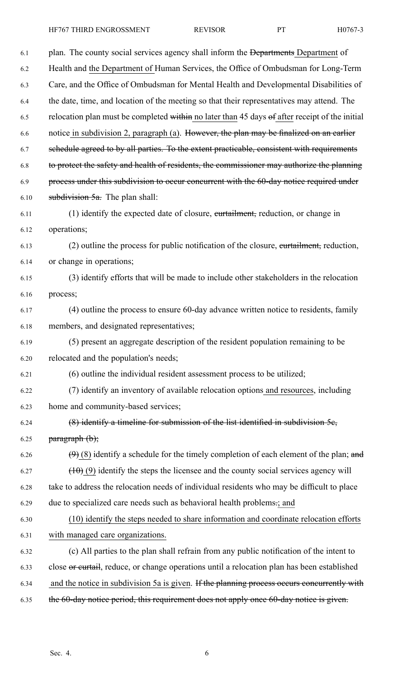| 6.1  | plan. The county social services agency shall inform the Departments Department of             |
|------|------------------------------------------------------------------------------------------------|
| 6.2  | Health and the Department of Human Services, the Office of Ombudsman for Long-Term             |
| 6.3  | Care, and the Office of Ombudsman for Mental Health and Developmental Disabilities of          |
| 6.4  | the date, time, and location of the meeting so that their representatives may attend. The      |
| 6.5  | relocation plan must be completed within no later than 45 days of after receipt of the initial |
| 6.6  | notice in subdivision 2, paragraph (a). However, the plan may be finalized on an earlier       |
| 6.7  | schedule agreed to by all parties. To the extent practicable, consistent with requirements     |
| 6.8  | to protect the safety and health of residents, the commissioner may authorize the planning     |
| 6.9  | process under this subdivision to occur concurrent with the 60-day notice required under       |
| 6.10 | subdivision $5a$ . The plan shall:                                                             |
| 6.11 | (1) identify the expected date of closure, eurtailment, reduction, or change in                |
| 6.12 | operations;                                                                                    |
| 6.13 | (2) outline the process for public notification of the closure, eurtailment, reduction,        |
| 6.14 | or change in operations;                                                                       |
| 6.15 | (3) identify efforts that will be made to include other stakeholders in the relocation         |
| 6.16 | process;                                                                                       |
| 6.17 | (4) outline the process to ensure 60-day advance written notice to residents, family           |
| 6.18 | members, and designated representatives;                                                       |
| 6.19 | (5) present an aggregate description of the resident population remaining to be                |
| 6.20 | relocated and the population's needs;                                                          |
| 6.21 | (6) outline the individual resident assessment process to be utilized;                         |
| 6.22 | (7) identify an inventory of available relocation options and resources, including             |
| 6.23 | home and community-based services;                                                             |
| 6.24 | $(8)$ identify a timeline for submission of the list identified in subdivision 5 $e$ ,         |
| 6.25 | $\frac{1}{2}$ paragraph $(b)$ ;                                                                |
| 6.26 | $(9)$ (8) identify a schedule for the timely completion of each element of the plan; and       |
| 6.27 | $(10)$ (9) identify the steps the licensee and the county social services agency will          |
| 6.28 | take to address the relocation needs of individual residents who may be difficult to place     |
| 6.29 | due to specialized care needs such as behavioral health problems.; and                         |
| 6.30 | (10) identify the steps needed to share information and coordinate relocation efforts          |
| 6.31 | with managed care organizations.                                                               |
| 6.32 | (c) All parties to the plan shall refrain from any public notification of the intent to        |
| 6.33 | close or curtail, reduce, or change operations until a relocation plan has been established    |
| 6.34 | and the notice in subdivision 5a is given. If the planning process occurs concurrently with    |
| 6.35 | the 60-day notice period, this requirement does not apply once 60-day notice is given.         |
|      |                                                                                                |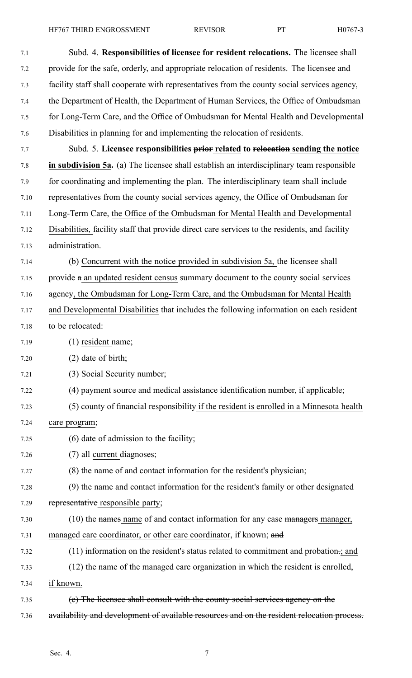HF767 THIRD ENGROSSMENT REVISOR PT H0767-3

| 7.1  | Subd. 4. Responsibilities of licensee for resident relocations. The licensee shall            |
|------|-----------------------------------------------------------------------------------------------|
| 7.2  | provide for the safe, orderly, and appropriate relocation of residents. The licensee and      |
| 7.3  | facility staff shall cooperate with representatives from the county social services agency,   |
| 7.4  | the Department of Health, the Department of Human Services, the Office of Ombudsman           |
| 7.5  | for Long-Term Care, and the Office of Ombudsman for Mental Health and Developmental           |
| 7.6  | Disabilities in planning for and implementing the relocation of residents.                    |
| 7.7  | Subd. 5. Licensee responsibilities prior related to relocation sending the notice             |
| 7.8  | in subdivision 5a. (a) The licensee shall establish an interdisciplinary team responsible     |
| 7.9  | for coordinating and implementing the plan. The interdisciplinary team shall include          |
| 7.10 | representatives from the county social services agency, the Office of Ombudsman for           |
| 7.11 | Long-Term Care, the Office of the Ombudsman for Mental Health and Developmental               |
| 7.12 | Disabilities, facility staff that provide direct care services to the residents, and facility |
| 7.13 | administration.                                                                               |
| 7.14 | (b) Concurrent with the notice provided in subdivision 5a, the licensee shall                 |
| 7.15 | provide a an updated resident census summary document to the county social services           |
| 7.16 | agency, the Ombudsman for Long-Term Care, and the Ombudsman for Mental Health                 |
| 7.17 | and Developmental Disabilities that includes the following information on each resident       |
| 7.18 | to be relocated:                                                                              |
| 7.19 | (1) resident name;                                                                            |
| 7.20 | (2) date of birth;                                                                            |
| 7.21 | (3) Social Security number;                                                                   |
| 7.22 | (4) payment source and medical assistance identification number, if applicable;               |
| 7.23 | (5) county of financial responsibility if the resident is enrolled in a Minnesota health      |
| 7.24 | care program;                                                                                 |
| 7.25 | (6) date of admission to the facility;                                                        |
| 7.26 | (7) all current diagnoses;                                                                    |
| 7.27 | (8) the name of and contact information for the resident's physician;                         |
| 7.28 | (9) the name and contact information for the resident's family or other designated            |
| 7.29 | representative responsible party;                                                             |
| 7.30 | (10) the names name of and contact information for any case managers manager,                 |
| 7.31 | managed care coordinator, or other care coordinator, if known; and                            |
| 7.32 | (11) information on the resident's status related to commitment and probation-; and           |
| 7.33 | (12) the name of the managed care organization in which the resident is enrolled,             |
| 7.34 | if known.                                                                                     |
| 7.35 | (e) The licensee shall consult with the county social services agency on the                  |
| 7.36 | availability and development of available resources and on the resident relocation process.   |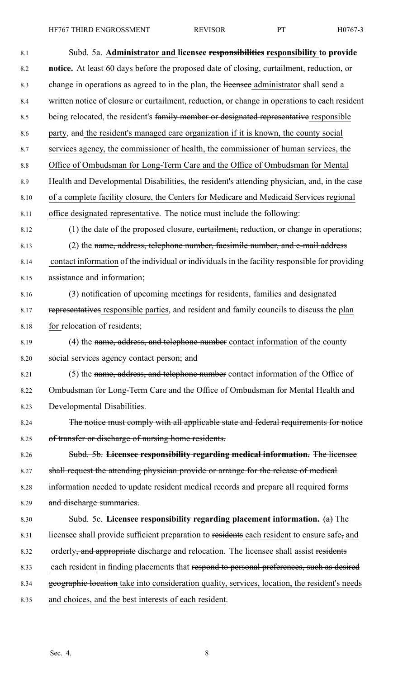| 8.1  | Subd. 5a. Administrator and licensee responsibilities responsibility to provide                    |
|------|----------------------------------------------------------------------------------------------------|
| 8.2  | notice. At least 60 days before the proposed date of closing, eurtailment, reduction, or           |
| 8.3  | change in operations as agreed to in the plan, the licensee administrator shall send a             |
| 8.4  | written notice of closure or curtailment, reduction, or change in operations to each resident      |
| 8.5  | being relocated, the resident's family member or designated representative responsible             |
| 8.6  | party, and the resident's managed care organization if it is known, the county social              |
| 8.7  | services agency, the commissioner of health, the commissioner of human services, the               |
| 8.8  | Office of Ombudsman for Long-Term Care and the Office of Ombudsman for Mental                      |
| 8.9  | Health and Developmental Disabilities, the resident's attending physician, and, in the case        |
| 8.10 | of a complete facility closure, the Centers for Medicare and Medicaid Services regional            |
| 8.11 | office designated representative. The notice must include the following:                           |
| 8.12 | (1) the date of the proposed closure, eurtailment, reduction, or change in operations;             |
| 8.13 | (2) the name, address, telephone number, faesimile number, and e-mail address                      |
| 8.14 | contact information of the individual or individuals in the facility responsible for providing     |
| 8.15 | assistance and information;                                                                        |
| 8.16 | (3) notification of upcoming meetings for residents, families and designated                       |
| 8.17 | representatives responsible parties, and resident and family councils to discuss the plan          |
| 8.18 | for relocation of residents;                                                                       |
| 8.19 | (4) the name, address, and telephone number contact information of the county                      |
| 8.20 | social services agency contact person; and                                                         |
| 8.21 | (5) the name, address, and telephone number contact information of the Office of                   |
| 8.22 | Ombudsman for Long-Term Care and the Office of Ombudsman for Mental Health and                     |
| 8.23 | Developmental Disabilities.                                                                        |
| 8.24 | The notice must comply with all applicable state and federal requirements for notice               |
| 8.25 | of transfer or discharge of nursing home residents.                                                |
| 8.26 | Subd. 5b. Licensee responsibility regarding medical information. The licensee                      |
| 8.27 | shall request the attending physician provide or arrange for the release of medical                |
| 8.28 | information needed to update resident medical records and prepare all required forms               |
| 8.29 | and discharge summaries.                                                                           |
| 8.30 | Subd. 5c. Licensee responsibility regarding placement information. $(a)$ The                       |
| 8.31 | licensee shall provide sufficient preparation to residents each resident to ensure safe, and       |
| 8.32 | orderly <del>, and appropriate</del> discharge and relocation. The licensee shall assist residents |
| 8.33 | each resident in finding placements that respond to personal preferences, such as desired          |
| 8.34 | geographic location take into consideration quality, services, location, the resident's needs      |
| 8.35 | and choices, and the best interests of each resident.                                              |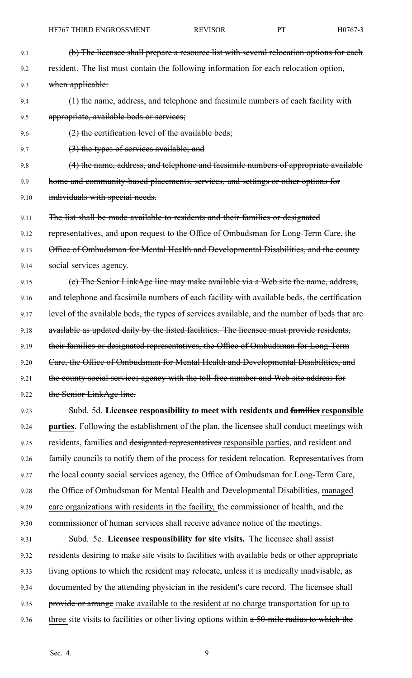| 9.1  | (b) The licensee shall prepare a resource list with several relocation options for each       |
|------|-----------------------------------------------------------------------------------------------|
| 9.2  | resident. The list must contain the following information for each relocation option,         |
| 9.3  | when applicable:                                                                              |
| 9.4  | (1) the name, address, and telephone and facsimile numbers of each facility with              |
| 9.5  | appropriate, available beds or services;                                                      |
| 9.6  | $(2)$ the certification level of the available beds;                                          |
| 9.7  | (3) the types of services available; and                                                      |
| 9.8  | (4) the name, address, and telephone and faesimile numbers of appropriate available           |
| 9.9  | home and community-based placements, services, and settings or other options for              |
| 9.10 | individuals with special needs.                                                               |
| 9.11 | The list shall be made available to residents and their families or designated                |
| 9.12 | representatives, and upon request to the Office of Ombudsman for Long-Term Care, the          |
| 9.13 | Office of Ombudsman for Mental Health and Developmental Disabilities, and the county          |
| 9.14 | social services agency.                                                                       |
| 9.15 | (e) The Senior LinkAge line may make available via a Web site the name, address,              |
| 9.16 | and telephone and facsimile numbers of each facility with available beds, the certification   |
| 9.17 | level of the available beds, the types of services available, and the number of beds that are |
| 9.18 | available as updated daily by the listed facilities. The licensee must provide residents,     |
| 9.19 | their families or designated representatives, the Office of Ombudsman for Long-Term           |
| 9.20 | Care, the Office of Ombudsman for Mental Health and Developmental Disabilities, and           |
| 9.21 | the county social services agency with the toll-free number and Web site address for          |
| 9.22 | the Senior LinkAge line.                                                                      |
| 9.23 | Subd. 5d. Licensee responsibility to meet with residents and families responsible             |
| 9.24 | parties. Following the establishment of the plan, the licensee shall conduct meetings with    |
| 9.25 | residents, families and designated representatives responsible parties, and resident and      |
| 9.26 | family councils to notify them of the process for resident relocation. Representatives from   |
| 9.27 | the local county social services agency, the Office of Ombudsman for Long-Term Care,          |
| 9.28 | the Office of Ombudsman for Mental Health and Developmental Disabilities, managed             |
| 9.29 | care organizations with residents in the facility, the commissioner of health, and the        |
| 9.30 | commissioner of human services shall receive advance notice of the meetings.                  |
| 9.31 | Subd. 5e. Licensee responsibility for site visits. The licensee shall assist                  |
| 9.32 | residents desiring to make site visits to facilities with available beds or other appropriate |
| 9.33 | living options to which the resident may relocate, unless it is medically inadvisable, as     |
| 9.34 | documented by the attending physician in the resident's care record. The licensee shall       |

9.35 provide or arrange make available to the resident at no charge transportation for up to 9.36 three site visits to facilities or other living options within a 50-mile radius to which the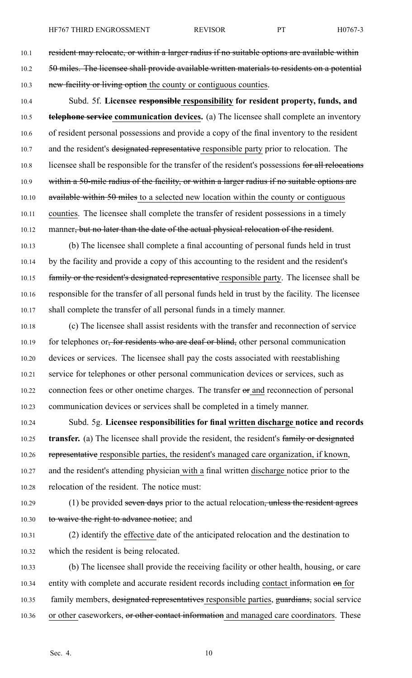10.1 resident may relocate, or within a larger radius if no suitable options are available within 10.2 50 miles. The licensee shall provide available written materials to residents on a potential 10.3 new facility or living option the county or contiguous counties.

10.4 Subd. 5f. **Licensee responsible responsibility for resident property, funds, and** 10.5 **telephone service communication devices.** (a) The licensee shall complete an inventory 10.6 of resident personal possessions and provide <sup>a</sup> copy of the final inventory to the resident 10.7 and the resident's designated representative responsible party prior to relocation. The 10.8 licensee shall be responsible for the transfer of the resident's possessions for all relocations 10.9 within a 50-mile radius of the facility, or within a larger radius if no suitable options are 10.10 available within 50 miles to a selected new location within the county or contiguous 10.11 counties. The licensee shall complete the transfer of resident possessions in <sup>a</sup> timely 10.12 manner, but no later than the date of the actual physical relocation of the resident.

10.13 (b) The licensee shall complete <sup>a</sup> final accounting of personal funds held in trust 10.14 by the facility and provide <sup>a</sup> copy of this accounting to the resident and the resident's 10.15 family or the resident's designated representative responsible party. The licensee shall be 10.16 responsible for the transfer of all personal funds held in trust by the facility. The licensee 10.17 shall complete the transfer of all personal funds in <sup>a</sup> timely manner.

10.18 (c) The licensee shall assist residents with the transfer and reconnection of service 10.19 for telephones or, for residents who are deaf or blind, other personal communication 10.20 devices or services. The licensee shall pay the costs associated with reestablishing 10.21 service for telephones or other personal communication devices or services, such as 10.22 connection fees or other onetime charges. The transfer or and reconnection of personal 10.23 communication devices or services shall be completed in <sup>a</sup> timely manner.

10.24 Subd. 5g. **Licensee responsibilities for final written discharge notice and records** 10.25 **transfer.** (a) The licensee shall provide the resident, the resident's family or designated 10.26 representative responsible parties, the resident's managed care organization, if known, 10.27 and the resident's attending physician with <sup>a</sup> final written discharge notice prior to the 10.28 relocation of the resident. The notice must:

10.29 (1) be provided seven days prior to the actual relocation, unless the resident agrees 10.30 to waive the right to advance notice; and

- 10.31 (2) identify the effective date of the anticipated relocation and the destination to 10.32 which the resident is being relocated.
- 10.33 (b) The licensee shall provide the receiving facility or other health, housing, or care 10.34 entity with complete and accurate resident records including contact information on for 10.35 family members, designated representatives responsible parties, guardians, social service 10.36 or other caseworkers, or other contact information and managed care coordinators. These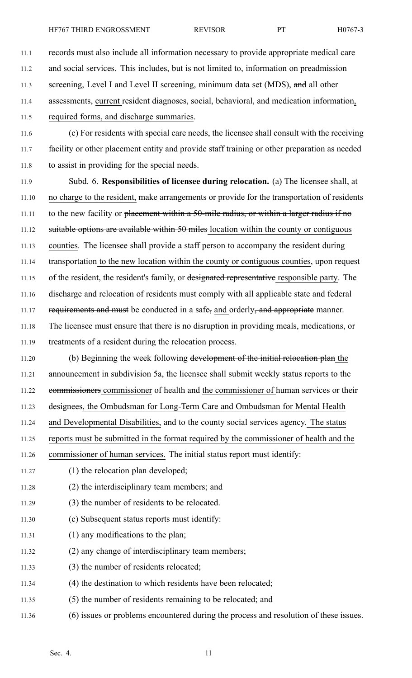11.1 records must also include all information necessary to provide appropriate medical care 11.2 and social services. This includes, but is not limited to, information on preadmission 11.3 screening, Level I and Level II screening, minimum data set (MDS), and all other 11.4 assessments, current resident diagnoses, social, behavioral, and medication information, 11.5 required forms, and discharge summaries. 11.6 (c) For residents with special care needs, the licensee shall consult with the receiving 11.7 facility or other placement entity and provide staff training or other preparation as needed 11.8 to assist in providing for the special needs. 11.9 Subd. 6. **Responsibilities of licensee during relocation.** (a) The licensee shall, at 11.10 no charge to the resident, make arrangements or provide for the transportation of residents 11.11 to the new facility or <del>placement within a 50-mile radius, or within a larger radius if no</del>

11.12 suitable options are available within 50 miles location within the county or contiguous

11.13 counties. The licensee shall provide <sup>a</sup> staff person to accompany the resident during 11.14 transportation to the new location within the county or contiguous counties, upon reques<sup>t</sup>

11.15 of the resident, the resident's family, or designated representative responsible party. The

11.16 discharge and relocation of residents must eomply with all applicable state and federal

11.17 requirements and must be conducted in a safe, and orderly, and appropriate manner.

11.18 The licensee must ensure that there is no disruption in providing meals, medications, or 11.19 treatments of <sup>a</sup> resident during the relocation process.

11.20 (b) Beginning the week following development of the initial relocation plan the 11.21 announcement in subdivision 5a, the licensee shall submit weekly status reports to the 11.22 commissioners commissioner of health and the commissioner of human services or their 11.23 designees, the Ombudsman for Long-Term Care and Ombudsman for Mental Health 11.24 and Developmental Disabilities, and to the county social services agency. The status

11.25 reports must be submitted in the format required by the commissioner of health and the

11.26 commissioner of human services. The initial status repor<sup>t</sup> must identify:

- 11.27 (1) the relocation plan developed;
- 11.28 (2) the interdisciplinary team members; and
- 11.29 (3) the number of residents to be relocated.
- 11.30 (c) Subsequent status reports must identify:
- 11.31 (1) any modifications to the plan;
- 11.32 (2) any change of interdisciplinary team members;
- 11.33 (3) the number of residents relocated;
- 11.34 (4) the destination to which residents have been relocated;
- 11.35 (5) the number of residents remaining to be relocated; and
- 11.36 (6) issues or problems encountered during the process and resolution of these issues.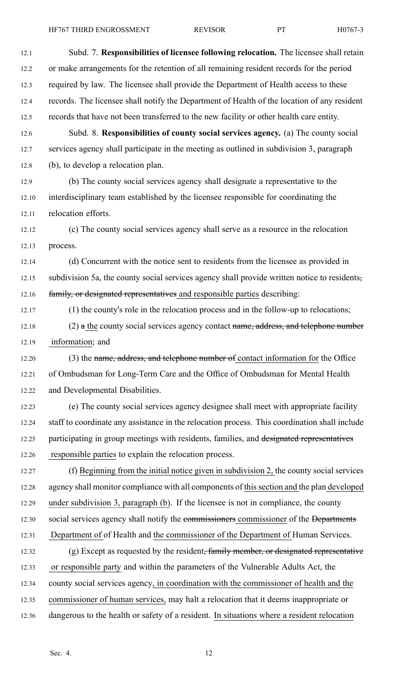12.1 Subd. 7. **Responsibilities of licensee following relocation.** The licensee shall retain 12.2 or make arrangements for the retention of all remaining resident records for the period 12.3 required by law. The licensee shall provide the Department of Health access to these 12.4 records. The licensee shall notify the Department of Health of the location of any resident 12.5 records that have not been transferred to the new facility or other health care entity. 12.6 Subd. 8. **Responsibilities of county social services agency.** (a) The county social 12.7 services agency shall participate in the meeting as outlined in subdivision 3, paragraph 12.8 (b), to develop <sup>a</sup> relocation plan. 12.9 (b) The county social services agency shall designate <sup>a</sup> representative to the 12.10 interdisciplinary team established by the licensee responsible for coordinating the 12.11 relocation efforts. 12.12 (c) The county social services agency shall serve as <sup>a</sup> resource in the relocation 12.13 process. 12.14 (d) Concurrent with the notice sent to residents from the licensee as provided in 12.15 subdivision 5a, the county social services agency shall provide written notice to residents, 12.16 family, or designated representatives and responsible parties describing: 12.17 (1) the county's role in the relocation process and in the follow-up to relocations; 12.18 (2) a the county social services agency contact name, address, and telephone number 12.19 information; and 12.20 (3) the name, address, and telephone number of contact information for the Office 12.21 of Ombudsman for Long-Term Care and the Office of Ombudsman for Mental Health 12.22 and Developmental Disabilities. 12.23 (e) The county social services agency designee shall meet with appropriate facility 12.24 staff to coordinate any assistance in the relocation process. This coordination shall include 12.25 participating in group meetings with residents, families, and designated representatives 12.26 responsible parties to explain the relocation process. 12.27 (f) Beginning from the initial notice given in subdivision 2, the county social services 12.28 agency shall monitor compliance with all components of this section and the plan developed 12.29 under subdivision 3, paragraph (b). If the licensee is not in compliance, the county 12.30 social services agency shall notify the commissioners commissioner of the Departments 12.31 Department of of Health and the commissioner of the Department of Human Services. 12.32 (g) Except as requested by the resident, family member, or designated representative 12.33 or responsible party and within the parameters of the Vulnerable Adults Act, the 12.34 county social services agency, in coordination with the commissioner of health and the 12.35 commissioner of human services, may halt <sup>a</sup> relocation that it deems inappropriate or 12.36 dangerous to the health or safety of <sup>a</sup> resident. In situations where <sup>a</sup> resident relocation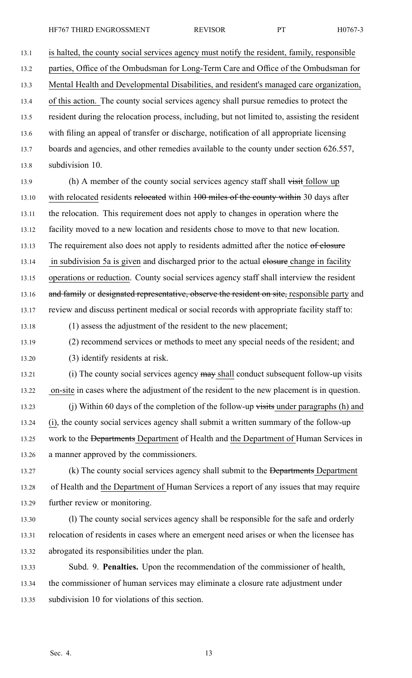13.1 is halted, the county social services agency must notify the resident, family, responsible

13.2 parties, Office of the Ombudsman for Long-Term Care and Office of the Ombudsman for

13.3 Mental Health and Developmental Disabilities, and resident's managed care organization,

13.4 of this action. The county social services agency shall pursue remedies to protect the 13.5 resident during the relocation process, including, but not limited to, assisting the resident 13.6 with filing an appeal of transfer or discharge, notification of all appropriate licensing 13.7 boards and agencies, and other remedies available to the county under section 626.557,

13.8 subdivision 10.

13.9 (h) A member of the county social services agency staff shall visit follow up 13.10 with relocated residents relocated within 100 miles of the county within 30 days after 13.11 the relocation. This requirement does not apply to changes in operation where the 13.12 facility moved to <sup>a</sup> new location and residents chose to move to that new location. 13.13 The requirement also does not apply to residents admitted after the notice of elosure 13.14 in subdivision 5a is given and discharged prior to the actual elosure change in facility 13.15 operations or reduction. County social services agency staff shall interview the resident 13.16 and family or designated representative, observe the resident on site, responsible party and 13.17 review and discuss pertinent medical or social records with appropriate facility staff to:

13.18 (1) assess the adjustment of the resident to the new placement;

- 13.19 (2) recommend services or methods to meet any special needs of the resident; and
- 13.20 (3) identify residents at risk.
- 13.21 (i) The county social services agency may shall conduct subsequent follow-up visits 13.22 on-site in cases where the adjustment of the resident to the new placement is in question.
- 13.23 (j) Within 60 days of the completion of the follow-up visits under paragraphs (h) and 13.24 (i), the county social services agency shall submit <sup>a</sup> written summary of the follow-up 13.25 work to the <del>Departments</del> Department of Health and the Department of Human Services in 13.26 <sup>a</sup> manner approved by the commissioners.
- 13.27 (k) The county social services agency shall submit to the <del>Departments</del> Department 13.28 of Health and the Department of Human Services <sup>a</sup> repor<sup>t</sup> of any issues that may require 13.29 further review or monitoring.
- 13.30 (l) The county social services agency shall be responsible for the safe and orderly 13.31 relocation of residents in cases where an emergen<sup>t</sup> need arises or when the licensee has 13.32 abrogated its responsibilities under the plan.
- 13.33 Subd. 9. **Penalties.** Upon the recommendation of the commissioner of health, 13.34 the commissioner of human services may eliminate <sup>a</sup> closure rate adjustment under 13.35 subdivision 10 for violations of this section.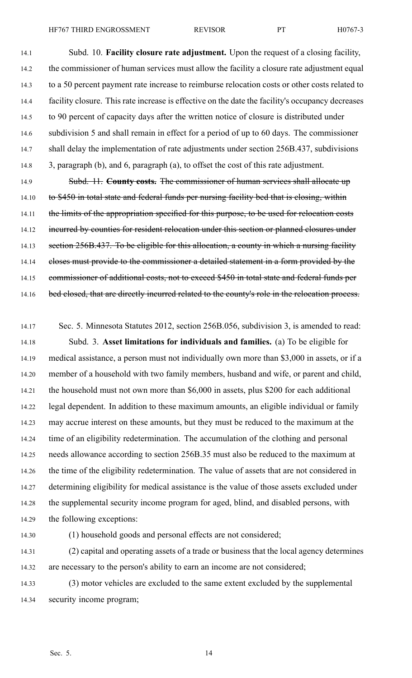14.1 Subd. 10. **Facility closure rate adjustment.** Upon the reques<sup>t</sup> of <sup>a</sup> closing facility, 14.2 the commissioner of human services must allow the facility <sup>a</sup> closure rate adjustment equal 14.3 to <sup>a</sup> 50 percen<sup>t</sup> paymen<sup>t</sup> rate increase to reimburse relocation costs or other costs related to 14.4 facility closure. This rate increase is effective on the date the facility's occupancy decreases 14.5 to 90 percen<sup>t</sup> of capacity days after the written notice of closure is distributed under 14.6 subdivision 5 and shall remain in effect for <sup>a</sup> period of up to 60 days. The commissioner 14.7 shall delay the implementation of rate adjustments under section 256B.437, subdivisions 14.8 3, paragraph (b), and 6, paragraph (a), to offset the cost of this rate adjustment.

14.9 Subd. 11. **County costs.** The commissioner of human services shall allocate up 14.10 to \$450 in total state and federal funds per nursing facility bed that is closing, within 14.11 the limits of the appropriation specified for this purpose, to be used for relocation costs 14.12 incurred by counties for resident relocation under this section or planned closures under 14.13 section 256B.437. To be eligible for this allocation, a county in which a nursing facility 14.14 closes must provide to the commissioner a detailed statement in a form provided by the 14.15 commissioner of additional costs, not to exceed \$450 in total state and federal funds per 14.16 bed closed, that are directly incurred related to the county's role in the relocation process.

14.17 Sec. 5. Minnesota Statutes 2012, section 256B.056, subdivision 3, is amended to read: 14.18 Subd. 3. **Asset limitations for individuals and families.** (a) To be eligible for 14.19 medical assistance, <sup>a</sup> person must not individually own more than \$3,000 in assets, or if <sup>a</sup> 14.20 member of <sup>a</sup> household with two family members, husband and wife, or paren<sup>t</sup> and child, 14.21 the household must not own more than \$6,000 in assets, plus \$200 for each additional 14.22 legal dependent. In addition to these maximum amounts, an eligible individual or family 14.23 may accrue interest on these amounts, but they must be reduced to the maximum at the 14.24 time of an eligibility redetermination. The accumulation of the clothing and personal 14.25 needs allowance according to section 256B.35 must also be reduced to the maximum at 14.26 the time of the eligibility redetermination. The value of assets that are not considered in 14.27 determining eligibility for medical assistance is the value of those assets excluded under 14.28 the supplemental security income program for aged, blind, and disabled persons, with 14.29 the following exceptions:

14.30 (1) household goods and personal effects are not considered;

14.31 (2) capital and operating assets of <sup>a</sup> trade or business that the local agency determines 14.32 are necessary to the person's ability to earn an income are not considered;

14.33 (3) motor vehicles are excluded to the same extent excluded by the supplemental 14.34 security income program;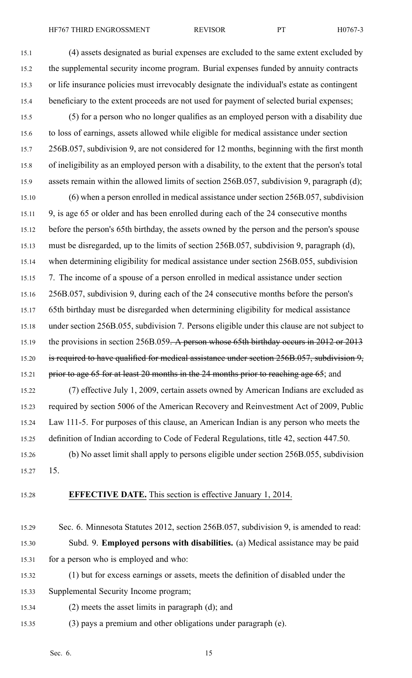- 15.1 (4) assets designated as burial expenses are excluded to the same extent excluded by 15.2 the supplemental security income program. Burial expenses funded by annuity contracts 15.3 or life insurance policies must irrevocably designate the individual's estate as contingent 15.4 beneficiary to the extent proceeds are not used for payment of selected burial expenses; 15.5 (5) for <sup>a</sup> person who no longer qualifies as an employed person with <sup>a</sup> disability due 15.6 to loss of earnings, assets allowed while eligible for medical assistance under section 15.7 256B.057, subdivision 9, are not considered for 12 months, beginning with the first month 15.8 of ineligibility as an employed person with <sup>a</sup> disability, to the extent that the person's total 15.9 assets remain within the allowed limits of section 256B.057, subdivision 9, paragraph (d); 15.10 (6) when <sup>a</sup> person enrolled in medical assistance under section 256B.057, subdivision 15.11 9, is age 65 or older and has been enrolled during each of the 24 consecutive months 15.12 before the person's 65th birthday, the assets owned by the person and the person's spouse 15.13 must be disregarded, up to the limits of section 256B.057, subdivision 9, paragraph (d), 15.14 when determining eligibility for medical assistance under section 256B.055, subdivision 15.15 7. The income of <sup>a</sup> spouse of <sup>a</sup> person enrolled in medical assistance under section 15.16 256B.057, subdivision 9, during each of the 24 consecutive months before the person's 15.17 65th birthday must be disregarded when determining eligibility for medical assistance 15.18 under section 256B.055, subdivision 7. Persons eligible under this clause are not subject to 15.19 the provisions in section 256B.059. A person whose 65th birthday occurs in 2012 or 2013 15.20 is required to have qualified for medical assistance under section 256B.057, subdivision 9,
- 15.21 prior to age 65 for at least 20 months in the 24 months prior to reaching age 65; and
- 15.22 (7) effective July 1, 2009, certain assets owned by American Indians are excluded as 15.23 required by section 5006 of the American Recovery and Reinvestment Act of 2009, Public 15.24 Law 111-5. For purposes of this clause, an American Indian is any person who meets the 15.25 definition of Indian according to Code of Federal Regulations, title 42, section 447.50.
- 15.26 (b) No asset limit shall apply to persons eligible under section 256B.055, subdivision 15.27 15.
- 

# 15.28 **EFFECTIVE DATE.** This section is effective January 1, 2014.

- 15.29 Sec. 6. Minnesota Statutes 2012, section 256B.057, subdivision 9, is amended to read: 15.30 Subd. 9. **Employed persons with disabilities.** (a) Medical assistance may be paid 15.31 for <sup>a</sup> person who is employed and who:
- 15.32 (1) but for excess earnings or assets, meets the definition of disabled under the
- 15.33 Supplemental Security Income program;
- 15.34 (2) meets the asset limits in paragraph (d); and
- 15.35 (3) pays <sup>a</sup> premium and other obligations under paragraph (e).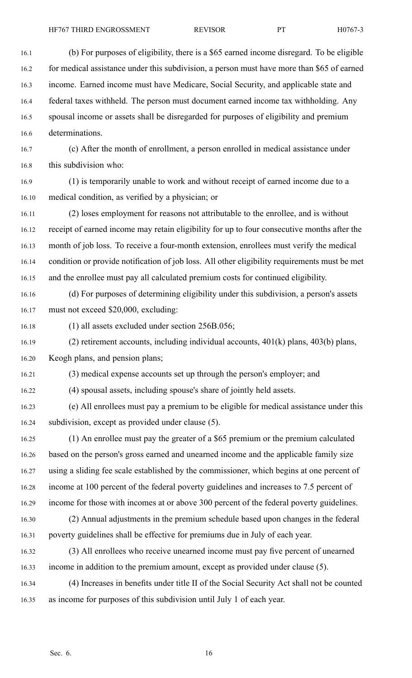16.1 (b) For purposes of eligibility, there is <sup>a</sup> \$65 earned income disregard. To be eligible 16.2 for medical assistance under this subdivision, a person must have more than \$65 of earned 16.3 income. Earned income must have Medicare, Social Security, and applicable state and 16.4 federal taxes withheld. The person must document earned income tax withholding. Any 16.5 spousal income or assets shall be disregarded for purposes of eligibility and premium 16.6 determinations. 16.7 (c) After the month of enrollment, <sup>a</sup> person enrolled in medical assistance under 16.8 this subdivision who: 16.9 (1) is temporarily unable to work and without receipt of earned income due to <sup>a</sup> 16.10 medical condition, as verified by <sup>a</sup> physician; or 16.11 (2) loses employment for reasons not attributable to the enrollee, and is without 16.12 receipt of earned income may retain eligibility for up to four consecutive months after the 16.13 month of job loss. To receive <sup>a</sup> four-month extension, enrollees must verify the medical 16.14 condition or provide notification of job loss. All other eligibility requirements must be met 16.15 and the enrollee must pay all calculated premium costs for continued eligibility. 16.16 (d) For purposes of determining eligibility under this subdivision, <sup>a</sup> person's assets 16.17 must not exceed \$20,000, excluding: 16.18 (1) all assets excluded under section 256B.056; 16.19 (2) retirement accounts, including individual accounts, 401(k) plans, 403(b) plans, 16.20 Keogh plans, and pension plans; 16.21 (3) medical expense accounts set up through the person's employer; and 16.22 (4) spousal assets, including spouse's share of jointly held assets. 16.23 (e) All enrollees must pay <sup>a</sup> premium to be eligible for medical assistance under this 16.24 subdivision, excep<sup>t</sup> as provided under clause (5). 16.25 (1) An enrollee must pay the greater of <sup>a</sup> \$65 premium or the premium calculated

16.26 based on the person's gross earned and unearned income and the applicable family size 16.27 using <sup>a</sup> sliding fee scale established by the commissioner, which begins at one percen<sup>t</sup> of 16.28 income at 100 percen<sup>t</sup> of the federal poverty guidelines and increases to 7.5 percen<sup>t</sup> of 16.29 income for those with incomes at or above 300 percen<sup>t</sup> of the federal poverty guidelines. 16.30 (2) Annual adjustments in the premium schedule based upon changes in the federal 16.31 poverty guidelines shall be effective for premiums due in July of each year. 16.32 (3) All enrollees who receive unearned income must pay five percen<sup>t</sup> of unearned 16.33 income in addition to the premium amount, excep<sup>t</sup> as provided under clause (5).

16.34 (4) Increases in benefits under title II of the Social Security Act shall not be counted 16.35 as income for purposes of this subdivision until July 1 of each year.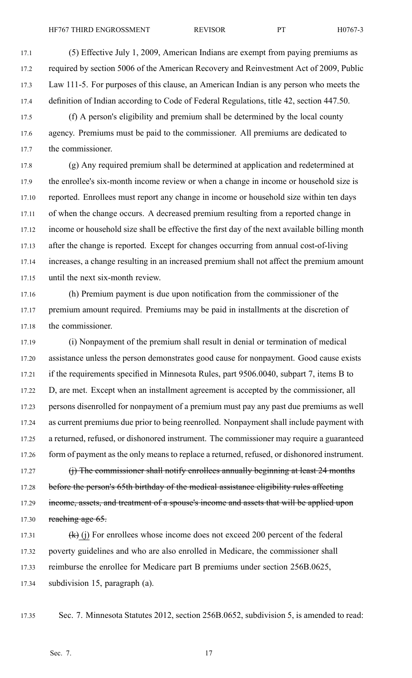17.1 (5) Effective July 1, 2009, American Indians are exemp<sup>t</sup> from paying premiums as 17.2 required by section 5006 of the American Recovery and Reinvestment Act of 2009, Public 17.3 Law 111-5. For purposes of this clause, an American Indian is any person who meets the 17.4 definition of Indian according to Code of Federal Regulations, title 42, section 447.50.

17.5 (f) A person's eligibility and premium shall be determined by the local county 17.6 agency. Premiums must be paid to the commissioner. All premiums are dedicated to 17.7 the commissioner.

17.8 (g) Any required premium shall be determined at application and redetermined at 17.9 the enrollee's six-month income review or when <sup>a</sup> change in income or household size is 17.10 reported. Enrollees must repor<sup>t</sup> any change in income or household size within ten days 17.11 of when the change occurs. A decreased premium resulting from <sup>a</sup> reported change in 17.12 income or household size shall be effective the first day of the next available billing month 17.13 after the change is reported. Except for changes occurring from annual cost-of-living 17.14 increases, <sup>a</sup> change resulting in an increased premium shall not affect the premium amount 17.15 until the next six-month review.

17.16 (h) Premium paymen<sup>t</sup> is due upon notification from the commissioner of the 17.17 premium amount required. Premiums may be paid in installments at the discretion of 17.18 the commissioner.

17.19 (i) Nonpayment of the premium shall result in denial or termination of medical 17.20 assistance unless the person demonstrates good cause for nonpayment. Good cause exists 17.21 if the requirements specified in Minnesota Rules, par<sup>t</sup> 9506.0040, subpart 7, items B to 17.22 D, are met. Except when an installment agreemen<sup>t</sup> is accepted by the commissioner, all 17.23 persons disenrolled for nonpaymen<sup>t</sup> of <sup>a</sup> premium must pay any pas<sup>t</sup> due premiums as well 17.24 as current premiums due prior to being reenrolled. Nonpayment shall include paymen<sup>t</sup> with 17.25 <sup>a</sup> returned, refused, or dishonored instrument. The commissioner may require <sup>a</sup> guaranteed 17.26 form of payment as the only means to replace a returned, refused, or dishonored instrument.

17.27 (i) The commissioner shall notify enrollees annually beginning at least 24 months 17.28 before the person's 65th birthday of the medical assistance eligibility rules affecting 17.29 income, assets, and treatment of a spouse's income and assets that will be applied upon 17.30 reaching age  $65$ .

17.31  $(k)$  (j) For enrollees whose income does not exceed 200 percent of the federal 17.32 poverty guidelines and who are also enrolled in Medicare, the commissioner shall 17.33 reimburse the enrollee for Medicare par<sup>t</sup> B premiums under section 256B.0625, 17.34 subdivision 15, paragraph (a).

17.35 Sec. 7. Minnesota Statutes 2012, section 256B.0652, subdivision 5, is amended to read: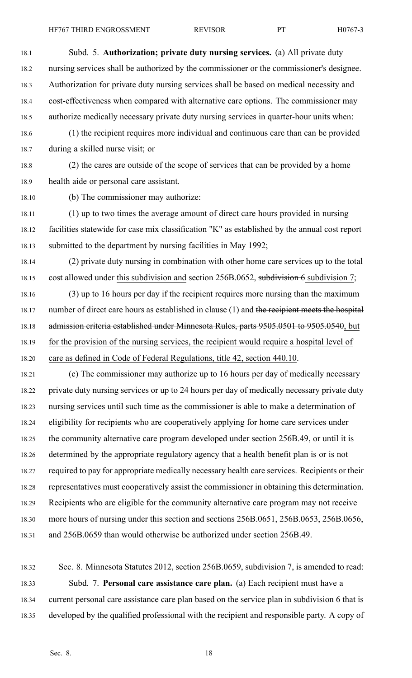18.3 Authorization for private duty nursing services shall be based on medical necessity and

18.4 cost-effectiveness when compared with alternative care options. The commissioner may

18.5 authorize medically necessary private duty nursing services in quarter-hour units when:

18.6 (1) the recipient requires more individual and continuous care than can be provided 18.7 during <sup>a</sup> skilled nurse visit; or

18.8 (2) the cares are outside of the scope of services that can be provided by <sup>a</sup> home 18.9 health aide or personal care assistant.

18.10 (b) The commissioner may authorize:

18.11 (1) up to two times the average amount of direct care hours provided in nursing 18.12 facilities statewide for case mix classification "K" as established by the annual cost repor<sup>t</sup> 18.13 submitted to the department by nursing facilities in May 1992;

18.14 (2) private duty nursing in combination with other home care services up to the total 18.15 cost allowed under this subdivision and section 256B.0652, subdivision 6 subdivision 7;

18.16 (3) up to 16 hours per day if the recipient requires more nursing than the maximum 18.17 number of direct care hours as established in clause (1) and the recipient meets the hospital 18.18 admission criteria established under Minnesota Rules, parts 9505.0501 to 9505.0540, but 18.19 for the provision of the nursing services, the recipient would require <sup>a</sup> hospital level of 18.20 care as defined in Code of Federal Regulations, title 42, section 440.10.

18.21 (c) The commissioner may authorize up to 16 hours per day of medically necessary 18.22 private duty nursing services or up to 24 hours per day of medically necessary private duty 18.23 nursing services until such time as the commissioner is able to make <sup>a</sup> determination of 18.24 eligibility for recipients who are cooperatively applying for home care services under 18.25 the community alternative care program developed under section 256B.49, or until it is 18.26 determined by the appropriate regulatory agency that <sup>a</sup> health benefit plan is or is not 18.27 required to pay for appropriate medically necessary health care services. Recipients or their 18.28 representatives must cooperatively assist the commissioner in obtaining this determination. 18.29 Recipients who are eligible for the community alternative care program may not receive 18.30 more hours of nursing under this section and sections 256B.0651, 256B.0653, 256B.0656, 18.31 and 256B.0659 than would otherwise be authorized under section 256B.49.

18.32 Sec. 8. Minnesota Statutes 2012, section 256B.0659, subdivision 7, is amended to read: 18.33 Subd. 7. **Personal care assistance care plan.** (a) Each recipient must have <sup>a</sup> 18.34 current personal care assistance care plan based on the service plan in subdivision 6 that is 18.35 developed by the qualified professional with the recipient and responsible party. A copy of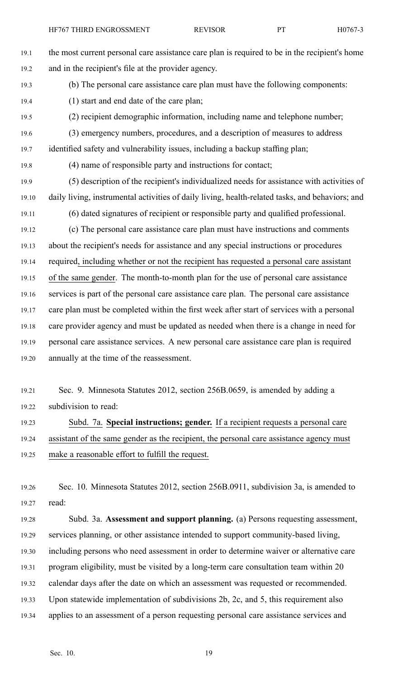19.1 the most current personal care assistance care plan is required to be in the recipient's home 19.2 and in the recipient's file at the provider agency. 19.3 (b) The personal care assistance care plan must have the following components: 19.4 (1) start and end date of the care plan; 19.5 (2) recipient demographic information, including name and telephone number; 19.6 (3) emergency numbers, procedures, and <sup>a</sup> description of measures to address 19.7 identified safety and vulnerability issues, including <sup>a</sup> backup staffing plan; 19.8 (4) name of responsible party and instructions for contact; 19.9 (5) description of the recipient's individualized needs for assistance with activities of 19.10 daily living, instrumental activities of daily living, health-related tasks, and behaviors; and 19.11 (6) dated signatures of recipient or responsible party and qualified professional. 19.12 (c) The personal care assistance care plan must have instructions and comments 19.13 about the recipient's needs for assistance and any special instructions or procedures 19.14 required, including whether or not the recipient has requested <sup>a</sup> personal care assistant 19.15 of the same gender. The month-to-month plan for the use of personal care assistance 19.16 services is par<sup>t</sup> of the personal care assistance care plan. The personal care assistance 19.17 care plan must be completed within the first week after start of services with <sup>a</sup> personal 19.18 care provider agency and must be updated as needed when there is <sup>a</sup> change in need for 19.19 personal care assistance services. A new personal care assistance care plan is required 19.20 annually at the time of the reassessment.

19.21 Sec. 9. Minnesota Statutes 2012, section 256B.0659, is amended by adding <sup>a</sup> 19.22 subdivision to read:

19.23 Subd. 7a. **Special instructions; gender.** If <sup>a</sup> recipient requests <sup>a</sup> personal care 19.24 assistant of the same gender as the recipient, the personal care assistance agency must 19.25 make <sup>a</sup> reasonable effort to fulfill the request.

19.26 Sec. 10. Minnesota Statutes 2012, section 256B.0911, subdivision 3a, is amended to 19.27 read:

19.28 Subd. 3a. **Assessment and suppor<sup>t</sup> planning.** (a) Persons requesting assessment, 19.29 services planning, or other assistance intended to suppor<sup>t</sup> community-based living, 19.30 including persons who need assessment in order to determine waiver or alternative care 19.31 program eligibility, must be visited by <sup>a</sup> long-term care consultation team within 20 19.32 calendar days after the date on which an assessment was requested or recommended. 19.33 Upon statewide implementation of subdivisions 2b, 2c, and 5, this requirement also 19.34 applies to an assessment of <sup>a</sup> person requesting personal care assistance services and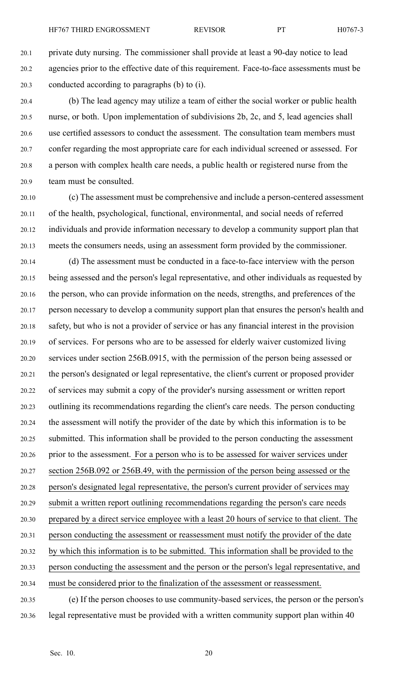20.1 private duty nursing. The commissioner shall provide at least <sup>a</sup> 90-day notice to lead 20.2 agencies prior to the effective date of this requirement. Face-to-face assessments must be 20.3 conducted according to paragraphs (b) to (i).

20.4 (b) The lead agency may utilize <sup>a</sup> team of either the social worker or public health 20.5 nurse, or both. Upon implementation of subdivisions 2b, 2c, and 5, lead agencies shall 20.6 use certified assessors to conduct the assessment. The consultation team members must 20.7 confer regarding the most appropriate care for each individual screened or assessed. For 20.8 <sup>a</sup> person with complex health care needs, <sup>a</sup> public health or registered nurse from the 20.9 team must be consulted.

20.10 (c) The assessment must be comprehensive and include <sup>a</sup> person-centered assessment 20.11 of the health, psychological, functional, environmental, and social needs of referred 20.12 individuals and provide information necessary to develop <sup>a</sup> community suppor<sup>t</sup> plan that 20.13 meets the consumers needs, using an assessment form provided by the commissioner.

20.14 (d) The assessment must be conducted in <sup>a</sup> face-to-face interview with the person 20.15 being assessed and the person's legal representative, and other individuals as requested by 20.16 the person, who can provide information on the needs, strengths, and preferences of the 20.17 person necessary to develop <sup>a</sup> community suppor<sup>t</sup> plan that ensures the person's health and 20.18 safety, but who is not <sup>a</sup> provider of service or has any financial interest in the provision 20.19 of services. For persons who are to be assessed for elderly waiver customized living 20.20 services under section 256B.0915, with the permission of the person being assessed or 20.21 the person's designated or legal representative, the client's current or proposed provider 20.22 of services may submit <sup>a</sup> copy of the provider's nursing assessment or written repor<sup>t</sup> 20.23 outlining its recommendations regarding the client's care needs. The person conducting 20.24 the assessment will notify the provider of the date by which this information is to be 20.25 submitted. This information shall be provided to the person conducting the assessment 20.26 prior to the assessment. For <sup>a</sup> person who is to be assessed for waiver services under 20.27 section 256B.092 or 256B.49, with the permission of the person being assessed or the 20.28 person's designated legal representative, the person's current provider of services may 20.29 submit <sup>a</sup> written repor<sup>t</sup> outlining recommendations regarding the person's care needs 20.30 prepared by <sup>a</sup> direct service employee with <sup>a</sup> least 20 hours of service to that client. The 20.31 person conducting the assessment or reassessment must notify the provider of the date 20.32 by which this information is to be submitted. This information shall be provided to the 20.33 person conducting the assessment and the person or the person's legal representative, and 20.34 must be considered prior to the finalization of the assessment or reassessment. 20.35 (e) If the person chooses to use community-based services, the person or the person's

20.36 legal representative must be provided with <sup>a</sup> written community suppor<sup>t</sup> plan within 40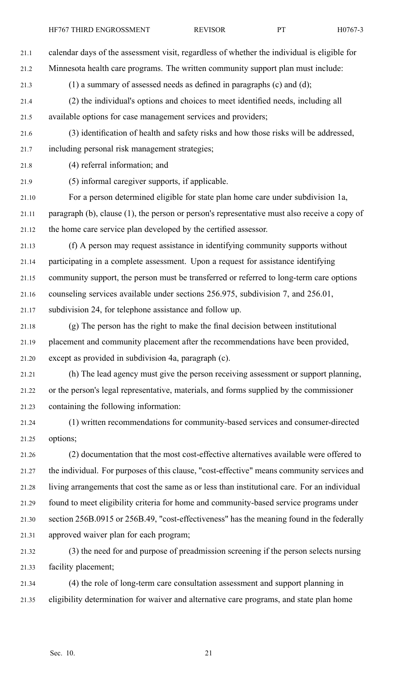21.1 calendar days of the assessment visit, regardless of whether the individual is eligible for

21.2 Minnesota health care programs. The written community suppor<sup>t</sup> plan must include:

21.3 (1) <sup>a</sup> summary of assessed needs as defined in paragraphs (c) and (d);

- 21.4 (2) the individual's options and choices to meet identified needs, including all 21.5 available options for case managemen<sup>t</sup> services and providers;
- 21.6 (3) identification of health and safety risks and how those risks will be addressed, 21.7 including personal risk managemen<sup>t</sup> strategies;
- 21.8 (4) referral information; and
- 21.9 (5) informal caregiver supports, if applicable.
- 21.10 For <sup>a</sup> person determined eligible for state plan home care under subdivision 1a, 21.11 paragraph (b), clause (1), the person or person's representative must also receive <sup>a</sup> copy of 21.12 the home care service plan developed by the certified assessor.
- 21.13 (f) A person may reques<sup>t</sup> assistance in identifying community supports without 21.14 participating in <sup>a</sup> complete assessment. Upon <sup>a</sup> reques<sup>t</sup> for assistance identifying 21.15 community support, the person must be transferred or referred to long-term care options 21.16 counseling services available under sections 256.975, subdivision 7, and 256.01, 21.17 subdivision 24, for telephone assistance and follow up.
- 21.18 (g) The person has the right to make the final decision between institutional 21.19 placement and community placement after the recommendations have been provided, 21.20 excep<sup>t</sup> as provided in subdivision 4a, paragraph (c).
- 21.21 (h) The lead agency must give the person receiving assessment or suppor<sup>t</sup> planning, 21.22 or the person's legal representative, materials, and forms supplied by the commissioner 21.23 containing the following information:
- 21.24 (1) written recommendations for community-based services and consumer-directed 21.25 options;
- 21.26 (2) documentation that the most cost-effective alternatives available were offered to 21.27 the individual. For purposes of this clause, "cost-effective" means community services and 21.28 living arrangements that cost the same as or less than institutional care. For an individual 21.29 found to meet eligibility criteria for home and community-based service programs under 21.30 section 256B.0915 or 256B.49, "cost-effectiveness" has the meaning found in the federally 21.31 approved waiver plan for each program;
- 21.32 (3) the need for and purpose of preadmission screening if the person selects nursing 21.33 facility placement;
- 21.34 (4) the role of long-term care consultation assessment and suppor<sup>t</sup> planning in 21.35 eligibility determination for waiver and alternative care programs, and state plan home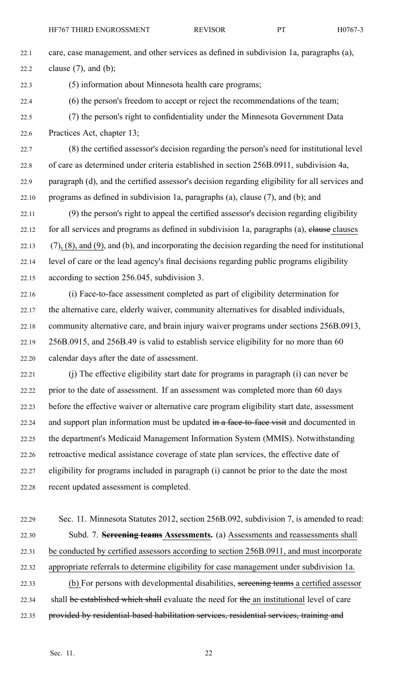22.1 care, case management, and other services as defined in subdivision 1a, paragraphs (a), 22.2 clause  $(7)$ , and  $(b)$ ;

22.3 (5) information about Minnesota health care programs;

- 22.4 (6) the person's freedom to accep<sup>t</sup> or reject the recommendations of the team;
- 22.5 (7) the person's right to confidentiality under the Minnesota Government Data 22.6 Practices Act, chapter 13;
- 22.7 (8) the certified assessor's decision regarding the person's need for institutional level 22.8 of care as determined under criteria established in section 256B.0911, subdivision 4a, 22.9 paragraph (d), and the certified assessor's decision regarding eligibility for all services and 22.10 programs as defined in subdivision 1a, paragraphs (a), clause  $(7)$ , and  $(b)$ ; and
- 22.11 (9) the person's right to appeal the certified assessor's decision regarding eligibility 22.12 for all services and programs as defined in subdivision 1a, paragraphs (a), elause clauses  $22.13$  (7), (8), and (9), and (b), and incorporating the decision regarding the need for institutional 22.14 level of care or the lead agency's final decisions regarding public programs eligibility 22.15 according to section 256.045, subdivision 3.
- 22.16 (i) Face-to-face assessment completed as par<sup>t</sup> of eligibility determination for 22.17 the alternative care, elderly waiver, community alternatives for disabled individuals, 22.18 community alternative care, and brain injury waiver programs under sections 256B.0913, 22.19 256B.0915, and 256B.49 is valid to establish service eligibility for no more than 60 22.20 calendar days after the date of assessment.
- 22.21 (j) The effective eligibility start date for programs in paragraph (i) can never be 22.22 prior to the date of assessment. If an assessment was completed more than 60 days 22.23 before the effective waiver or alternative care program eligibility start date, assessment 22.24 and support plan information must be updated in a face-to-face visit and documented in 22.25 the department's Medicaid Management Information System (MMIS). Notwithstanding 22.26 retroactive medical assistance coverage of state plan services, the effective date of 22.27 eligibility for programs included in paragraph (i) cannot be prior to the date the most 22.28 recent updated assessment is completed.
- 22.29 Sec. 11. Minnesota Statutes 2012, section 256B.092, subdivision 7, is amended to read: 22.30 Subd. 7. **Screening teams Assessments.** (a) Assessments and reassessments shall 22.31 be conducted by certified assessors according to section 256B.0911, and must incorporate 22.32 appropriate referrals to determine eligibility for case managemen<sup>t</sup> under subdivision 1a. 22.33 (b) For persons with developmental disabilities, screening teams <sup>a</sup> certified assessor 22.34 shall be established which shall evaluate the need for the an institutional level of care 22.35 provided by residential-based habilitation services, residential services, training and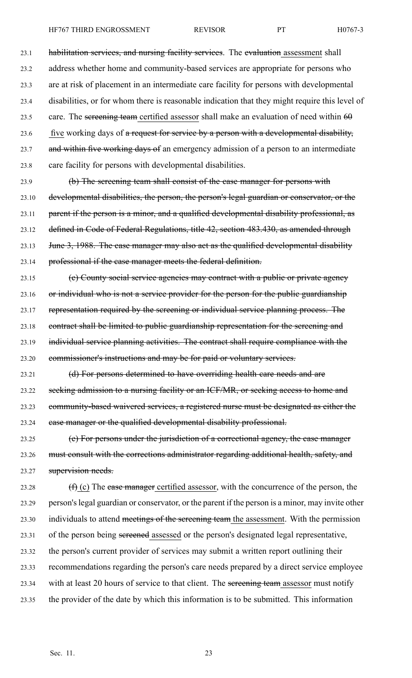23.1 habilitation services, and nursing facility services. The evaluation assessment shall 23.2 address whether home and community-based services are appropriate for persons who 23.3 are at risk of placement in an intermediate care facility for persons with developmental 23.4 disabilities, or for whom there is reasonable indication that they might require this level of 23.5 care. The sereening team certified assessor shall make an evaluation of need within  $60$ 

23.6 five working days of a request for service by a person with a developmental disability,

23.7 and within five working days of an emergency admission of a person to an intermediate 23.8 care facility for persons with developmental disabilities.

23.9 (b) The screening team shall consist of the case manager for persons with 23.10 developmental disabilities, the person, the person's legal guardian or conservator, or the 23.11 parent if the person is a minor, and a qualified developmental disability professional, as 23.12 defined in Code of Federal Regulations, title 42, section 483.430, as amended through 23.13 June 3, 1988. The case manager may also act as the qualified developmental disability 23.14 professional if the case manager meets the federal definition.

23.15 (c) County social service agencies may contract with <sup>a</sup> public or private agency 23.16 or individual who is not <sup>a</sup> service provider for the person for the public guardianship 23.17 representation required by the screening or individual service planning process. The 23.18 contract shall be limited to public guardianship representation for the screening and 23.19 individual service planning activities. The contract shall require compliance with the 23.20 commissioner's instructions and may be for paid or voluntary services.

23.21 (d) For persons determined to have overriding health care needs and are 23.22 seeking admission to a nursing facility or an ICF/MR, or seeking access to home and 23.23 community-based waivered services, <sup>a</sup> registered nurse must be designated as either the 23.24 case manager or the qualified developmental disability professional.

23.25 (e) For persons under the jurisdiction of <sup>a</sup> correctional agency, the case manager 23.26 must consult with the corrections administrator regarding additional health, safety, and 23.27 supervision needs.

23.28  $(f)$  (c) The ease manager certified assessor, with the concurrence of the person, the 23.29 person'slegal guardian or conservator, or the paren<sup>t</sup> if the person is <sup>a</sup> minor, may invite other 23.30 individuals to attend meetings of the screening team the assessment. With the permission 23.31 of the person being sereened assessed or the person's designated legal representative, 23.32 the person's current provider of services may submit <sup>a</sup> written repor<sup>t</sup> outlining their 23.33 recommendations regarding the person's care needs prepared by <sup>a</sup> direct service employee 23.34 with at least 20 hours of service to that client. The sereening team assessor must notify 23.35 the provider of the date by which this information is to be submitted. This information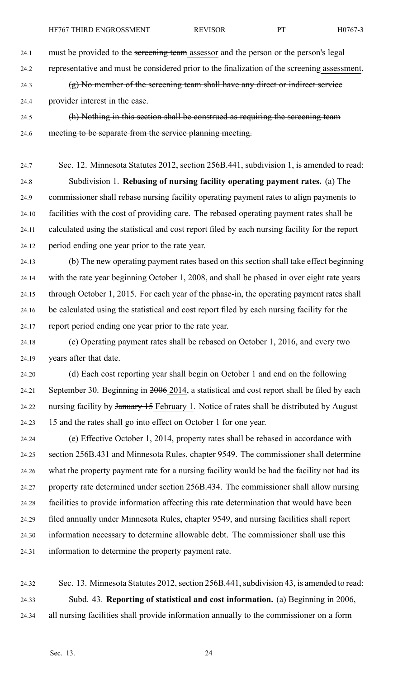24.1 must be provided to the sereening team assessor and the person or the person's legal

24.2 representative and must be considered prior to the finalization of the screening assessment.

24.3 (g) No member of the screening team shall have any direct or indirect service

24.4 provider interest in the case.

24.5 (h) Nothing in this section shall be construed as requiring the screening team 24.6 meeting to be separate from the service planning meeting.

24.7 Sec. 12. Minnesota Statutes 2012, section 256B.441, subdivision 1, is amended to read: 24.8 Subdivision 1. **Rebasing of nursing facility operating paymen<sup>t</sup> rates.** (a) The 24.9 commissioner shall rebase nursing facility operating paymen<sup>t</sup> rates to align payments to 24.10 facilities with the cost of providing care. The rebased operating paymen<sup>t</sup> rates shall be 24.11 calculated using the statistical and cost repor<sup>t</sup> filed by each nursing facility for the repor<sup>t</sup> 24.12 period ending one year prior to the rate year.

24.13 (b) The new operating paymen<sup>t</sup> rates based on this section shall take effect beginning 24.14 with the rate year beginning October 1, 2008, and shall be phased in over eight rate years 24.15 through October 1, 2015. For each year of the phase-in, the operating paymen<sup>t</sup> rates shall 24.16 be calculated using the statistical and cost repor<sup>t</sup> filed by each nursing facility for the 24.17 repor<sup>t</sup> period ending one year prior to the rate year.

24.18 (c) Operating paymen<sup>t</sup> rates shall be rebased on October 1, 2016, and every two 24.19 years after that date.

24.20 (d) Each cost reporting year shall begin on October 1 and end on the following 24.21 September 30. Beginning in 2006 2014, <sup>a</sup> statistical and cost repor<sup>t</sup> shall be filed by each 24.22 nursing facility by January 15 February 1. Notice of rates shall be distributed by August 24.23 15 and the rates shall go into effect on October 1 for one year.

24.24 (e) Effective October 1, 2014, property rates shall be rebased in accordance with 24.25 section 256B.431 and Minnesota Rules, chapter 9549. The commissioner shall determine 24.26 what the property paymen<sup>t</sup> rate for <sup>a</sup> nursing facility would be had the facility not had its 24.27 property rate determined under section 256B.434. The commissioner shall allow nursing 24.28 facilities to provide information affecting this rate determination that would have been 24.29 filed annually under Minnesota Rules, chapter 9549, and nursing facilities shall repor<sup>t</sup> 24.30 information necessary to determine allowable debt. The commissioner shall use this 24.31 information to determine the property paymen<sup>t</sup> rate.

24.32 Sec. 13. Minnesota Statutes 2012, section 256B.441, subdivision 43, is amended to read: 24.33 Subd. 43. **Reporting of statistical and cost information.** (a) Beginning in 2006, 24.34 all nursing facilities shall provide information annually to the commissioner on <sup>a</sup> form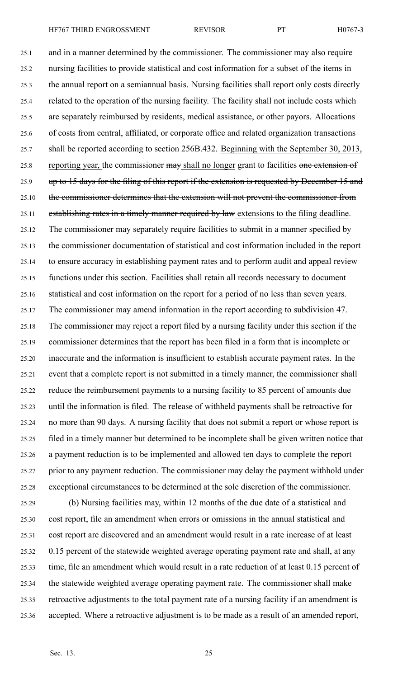25.1 and in <sup>a</sup> manner determined by the commissioner. The commissioner may also require 25.2 nursing facilities to provide statistical and cost information for <sup>a</sup> subset of the items in 25.3 the annual repor<sup>t</sup> on <sup>a</sup> semiannual basis. Nursing facilities shall repor<sup>t</sup> only costs directly 25.4 related to the operation of the nursing facility. The facility shall not include costs which 25.5 are separately reimbursed by residents, medical assistance, or other payors. Allocations 25.6 of costs from central, affiliated, or corporate office and related organization transactions 25.7 shall be reported according to section 256B.432. Beginning with the September 30, 2013, 25.8 reporting year, the commissioner may shall no longer grant to facilities one extension of 25.9 up to 15 days for the filing of this report if the extension is requested by December 15 and 25.10 the commissioner determines that the extension will not prevent the commissioner from 25.11 establishing rates in a timely manner required by law extensions to the filing deadline. 25.12 The commissioner may separately require facilities to submit in <sup>a</sup> manner specified by 25.13 the commissioner documentation of statistical and cost information included in the repor<sup>t</sup> 25.14 to ensure accuracy in establishing paymen<sup>t</sup> rates and to perform audit and appeal review 25.15 functions under this section. Facilities shall retain all records necessary to document 25.16 statistical and cost information on the repor<sup>t</sup> for <sup>a</sup> period of no less than seven years. 25.17 The commissioner may amend information in the repor<sup>t</sup> according to subdivision 47. 25.18 The commissioner may reject <sup>a</sup> repor<sup>t</sup> filed by <sup>a</sup> nursing facility under this section if the 25.19 commissioner determines that the repor<sup>t</sup> has been filed in <sup>a</sup> form that is incomplete or 25.20 inaccurate and the information is insufficient to establish accurate paymen<sup>t</sup> rates. In the 25.21 event that <sup>a</sup> complete repor<sup>t</sup> is not submitted in <sup>a</sup> timely manner, the commissioner shall 25.22 reduce the reimbursement payments to <sup>a</sup> nursing facility to 85 percen<sup>t</sup> of amounts due 25.23 until the information is filed. The release of withheld payments shall be retroactive for 25.24 no more than 90 days. A nursing facility that does not submit <sup>a</sup> repor<sup>t</sup> or whose repor<sup>t</sup> is 25.25 filed in <sup>a</sup> timely manner but determined to be incomplete shall be given written notice that 25.26 <sup>a</sup> paymen<sup>t</sup> reduction is to be implemented and allowed ten days to complete the repor<sup>t</sup>

25.27 prior to any paymen<sup>t</sup> reduction. The commissioner may delay the paymen<sup>t</sup> withhold under 25.28 exceptional circumstances to be determined at the sole discretion of the commissioner.

25.29 (b) Nursing facilities may, within 12 months of the due date of <sup>a</sup> statistical and 25.30 cost report, file an amendment when errors or omissions in the annual statistical and 25.31 cost repor<sup>t</sup> are discovered and an amendment would result in <sup>a</sup> rate increase of at least 25.32 0.15 percen<sup>t</sup> of the statewide weighted average operating paymen<sup>t</sup> rate and shall, at any 25.33 time, file an amendment which would result in <sup>a</sup> rate reduction of at least 0.15 percen<sup>t</sup> of 25.34 the statewide weighted average operating paymen<sup>t</sup> rate. The commissioner shall make 25.35 retroactive adjustments to the total paymen<sup>t</sup> rate of <sup>a</sup> nursing facility if an amendment is 25.36 accepted. Where <sup>a</sup> retroactive adjustment is to be made as <sup>a</sup> result of an amended report,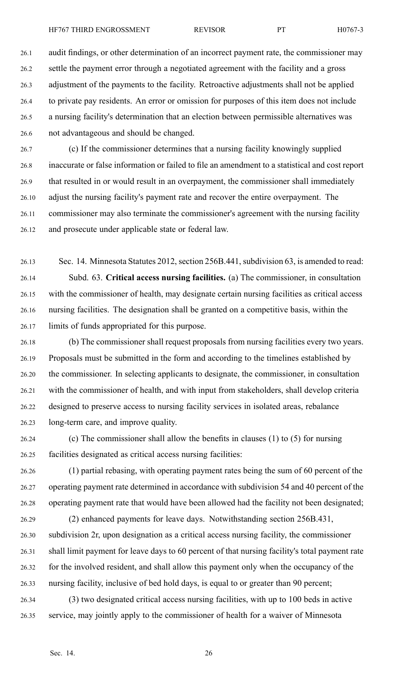26.7 (c) If the commissioner determines that <sup>a</sup> nursing facility knowingly supplied 26.8 inaccurate or false information or failed to file an amendment to <sup>a</sup> statistical and cost repor<sup>t</sup> 26.9 that resulted in or would result in an overpayment, the commissioner shall immediately 26.10 adjust the nursing facility's paymen<sup>t</sup> rate and recover the entire overpayment. The 26.11 commissioner may also terminate the commissioner's agreemen<sup>t</sup> with the nursing facility 26.12 and prosecute under applicable state or federal law.

26.13 Sec. 14. Minnesota Statutes 2012, section 256B.441, subdivision 63, is amended to read: 26.14 Subd. 63. **Critical access nursing facilities.** (a) The commissioner, in consultation 26.15 with the commissioner of health, may designate certain nursing facilities as critical access 26.16 nursing facilities. The designation shall be granted on <sup>a</sup> competitive basis, within the 26.17 limits of funds appropriated for this purpose.

26.18 (b) The commissioner shall reques<sup>t</sup> proposals from nursing facilities every two years. 26.19 Proposals must be submitted in the form and according to the timelines established by 26.20 the commissioner. In selecting applicants to designate, the commissioner, in consultation 26.21 with the commissioner of health, and with input from stakeholders, shall develop criteria 26.22 designed to preserve access to nursing facility services in isolated areas, rebalance 26.23 long-term care, and improve quality.

26.24 (c) The commissioner shall allow the benefits in clauses (1) to (5) for nursing 26.25 facilities designated as critical access nursing facilities:

26.26 (1) partial rebasing, with operating paymen<sup>t</sup> rates being the sum of 60 percen<sup>t</sup> of the 26.27 operating paymen<sup>t</sup> rate determined in accordance with subdivision 54 and 40 percen<sup>t</sup> of the 26.28 operating paymen<sup>t</sup> rate that would have been allowed had the facility not been designated;

- 26.29 (2) enhanced payments for leave days. Notwithstanding section 256B.431, 26.30 subdivision 2r, upon designation as <sup>a</sup> critical access nursing facility, the commissioner 26.31 shall limit paymen<sup>t</sup> for leave days to 60 percen<sup>t</sup> of that nursing facility's total paymen<sup>t</sup> rate 26.32 for the involved resident, and shall allow this paymen<sup>t</sup> only when the occupancy of the 26.33 nursing facility, inclusive of bed hold days, is equal to or greater than 90 percent;
- 26.34 (3) two designated critical access nursing facilities, with up to 100 beds in active 26.35 service, may jointly apply to the commissioner of health for <sup>a</sup> waiver of Minnesota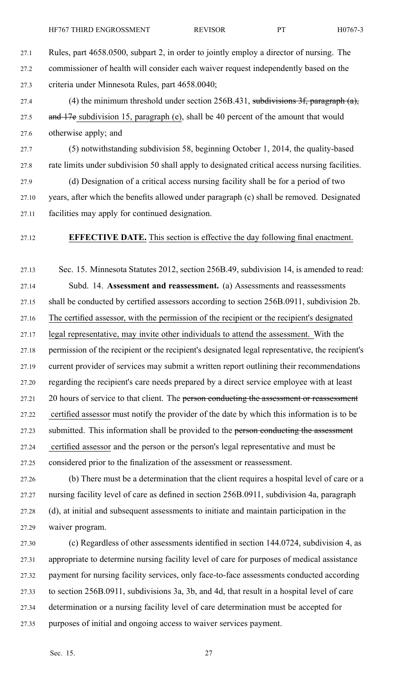27.1 Rules, par<sup>t</sup> 4658.0500, subpart 2, in order to jointly employ <sup>a</sup> director of nursing. The 27.2 commissioner of health will consider each waiver reques<sup>t</sup> independently based on the 27.3 criteria under Minnesota Rules, par<sup>t</sup> 4658.0040;

27.4 (4) the minimum threshold under section 256B.431, subdivisions 3f, paragraph (a), 27.5 and 17e subdivision 15, paragraph (e), shall be 40 percent of the amount that would 27.6 otherwise apply; and

27.7 (5) notwithstanding subdivision 58, beginning October 1, 2014, the quality-based 27.8 rate limits under subdivision 50 shall apply to designated critical access nursing facilities.

27.9 (d) Designation of <sup>a</sup> critical access nursing facility shall be for <sup>a</sup> period of two 27.10 years, after which the benefits allowed under paragraph (c) shall be removed. Designated 27.11 facilities may apply for continued designation.

# 27.12 **EFFECTIVE DATE.** This section is effective the day following final enactment.

27.13 Sec. 15. Minnesota Statutes 2012, section 256B.49, subdivision 14, is amended to read: 27.14 Subd. 14. **Assessment and reassessment.** (a) Assessments and reassessments 27.15 shall be conducted by certified assessors according to section 256B.0911, subdivision 2b. 27.16 The certified assessor, with the permission of the recipient or the recipient's designated 27.17 legal representative, may invite other individuals to attend the assessment. With the 27.18 permission of the recipient or the recipient's designated legal representative, the recipient's 27.19 current provider of services may submit <sup>a</sup> written repor<sup>t</sup> outlining their recommendations 27.20 regarding the recipient's care needs prepared by <sup>a</sup> direct service employee with at least 27.21 20 hours of service to that client. The person conducting the assessment or reassessment 27.22 certified assessor must notify the provider of the date by which this information is to be 27.23 submitted. This information shall be provided to the person conducting the assessment 27.24 certified assessor and the person or the person's legal representative and must be 27.25 considered prior to the finalization of the assessment or reassessment.

27.26 (b) There must be <sup>a</sup> determination that the client requires <sup>a</sup> hospital level of care or <sup>a</sup> 27.27 nursing facility level of care as defined in section 256B.0911, subdivision 4a, paragraph 27.28 (d), at initial and subsequent assessments to initiate and maintain participation in the 27.29 waiver program.

27.30 (c) Regardless of other assessments identified in section 144.0724, subdivision 4, as 27.31 appropriate to determine nursing facility level of care for purposes of medical assistance 27.32 paymen<sup>t</sup> for nursing facility services, only face-to-face assessments conducted according 27.33 to section 256B.0911, subdivisions 3a, 3b, and 4d, that result in <sup>a</sup> hospital level of care 27.34 determination or <sup>a</sup> nursing facility level of care determination must be accepted for 27.35 purposes of initial and ongoing access to waiver services payment.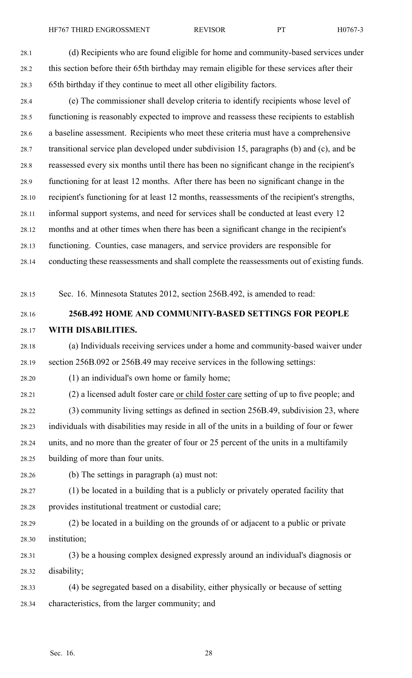28.4 (e) The commissioner shall develop criteria to identify recipients whose level of 28.5 functioning is reasonably expected to improve and reassess these recipients to establish 28.6 <sup>a</sup> baseline assessment. Recipients who meet these criteria must have <sup>a</sup> comprehensive 28.7 transitional service plan developed under subdivision 15, paragraphs (b) and (c), and be 28.8 reassessed every six months until there has been no significant change in the recipient's 28.9 functioning for at least 12 months. After there has been no significant change in the 28.10 recipient's functioning for at least 12 months, reassessments of the recipient's strengths, 28.11 informal suppor<sup>t</sup> systems, and need for services shall be conducted at least every 12 28.12 months and at other times when there has been <sup>a</sup> significant change in the recipient's 28.13 functioning. Counties, case managers, and service providers are responsible for 28.14 conducting these reassessments and shall complete the reassessments out of existing funds.

28.15 Sec. 16. Minnesota Statutes 2012, section 256B.492, is amended to read:

# 28.16 **256B.492 HOME AND COMMUNITY-BASED SETTINGS FOR PEOPLE** 28.17 **WITH DISABILITIES.**

28.18 (a) Individuals receiving services under <sup>a</sup> home and community-based waiver under 28.19 section 256B.092 or 256B.49 may receive services in the following settings:

28.20 (1) an individual's own home or family home;

28.21 (2) <sup>a</sup> licensed adult foster care or child foster care setting of up to five people; and

28.22 (3) community living settings as defined in section 256B.49, subdivision 23, where 28.23 individuals with disabilities may reside in all of the units in <sup>a</sup> building of four or fewer 28.24 units, and no more than the greater of four or 25 percen<sup>t</sup> of the units in <sup>a</sup> multifamily 28.25 building of more than four units.

28.26 (b) The settings in paragraph (a) must not:

28.27 (1) be located in <sup>a</sup> building that is <sup>a</sup> publicly or privately operated facility that 28.28 provides institutional treatment or custodial care;

28.29 (2) be located in <sup>a</sup> building on the grounds of or adjacent to <sup>a</sup> public or private 28.30 institution;

28.31 (3) be <sup>a</sup> housing complex designed expressly around an individual's diagnosis or 28.32 disability;

28.33 (4) be segregated based on <sup>a</sup> disability, either physically or because of setting 28.34 characteristics, from the larger community; and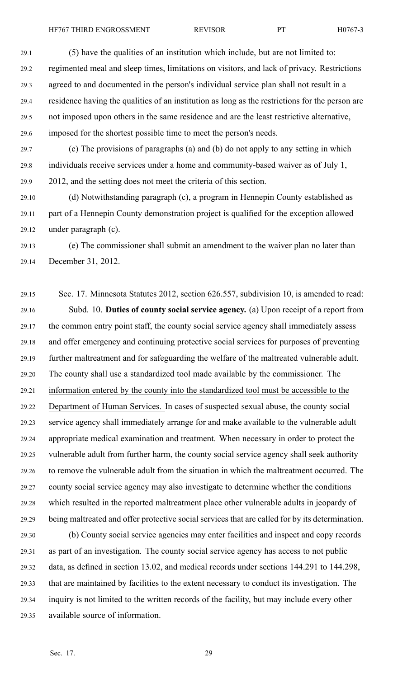29.1 (5) have the qualities of an institution which include, but are not limited to: 29.2 regimented meal and sleep times, limitations on visitors, and lack of privacy. Restrictions 29.3 agreed to and documented in the person's individual service plan shall not result in <sup>a</sup> 29.4 residence having the qualities of an institution as long as the restrictions for the person are 29.5 not imposed upon others in the same residence and are the least restrictive alternative, 29.6 imposed for the shortest possible time to meet the person's needs.

29.7 (c) The provisions of paragraphs (a) and (b) do not apply to any setting in which 29.8 individuals receive services under <sup>a</sup> home and community-based waiver as of July 1, 29.9 2012, and the setting does not meet the criteria of this section.

29.10 (d) Notwithstanding paragraph (c), <sup>a</sup> program in Hennepin County established as 29.11 par<sup>t</sup> of <sup>a</sup> Hennepin County demonstration project is qualified for the exception allowed 29.12 under paragraph (c).

29.13 (e) The commissioner shall submit an amendment to the waiver plan no later than 29.14 December 31, 2012.

29.15 Sec. 17. Minnesota Statutes 2012, section 626.557, subdivision 10, is amended to read: 29.16 Subd. 10. **Duties of county social service agency.** (a) Upon receipt of <sup>a</sup> repor<sup>t</sup> from 29.17 the common entry point staff, the county social service agency shall immediately assess 29.18 and offer emergency and continuing protective social services for purposes of preventing 29.19 further maltreatment and for safeguarding the welfare of the maltreated vulnerable adult. 29.20 The county shall use <sup>a</sup> standardized tool made available by the commissioner. The 29.21 information entered by the county into the standardized tool must be accessible to the 29.22 Department of Human Services. In cases of suspected sexual abuse, the county social 29.23 service agency shall immediately arrange for and make available to the vulnerable adult 29.24 appropriate medical examination and treatment. When necessary in order to protect the 29.25 vulnerable adult from further harm, the county social service agency shall seek authority 29.26 to remove the vulnerable adult from the situation in which the maltreatment occurred. The 29.27 county social service agency may also investigate to determine whether the conditions 29.28 which resulted in the reported maltreatment place other vulnerable adults in jeopardy of 29.29 being maltreated and offer protective social services that are called for by its determination.

29.30 (b) County social service agencies may enter facilities and inspect and copy records 29.31 as par<sup>t</sup> of an investigation. The county social service agency has access to not public 29.32 data, as defined in section 13.02, and medical records under sections 144.291 to 144.298, 29.33 that are maintained by facilities to the extent necessary to conduct its investigation. The 29.34 inquiry is not limited to the written records of the facility, but may include every other 29.35 available source of information.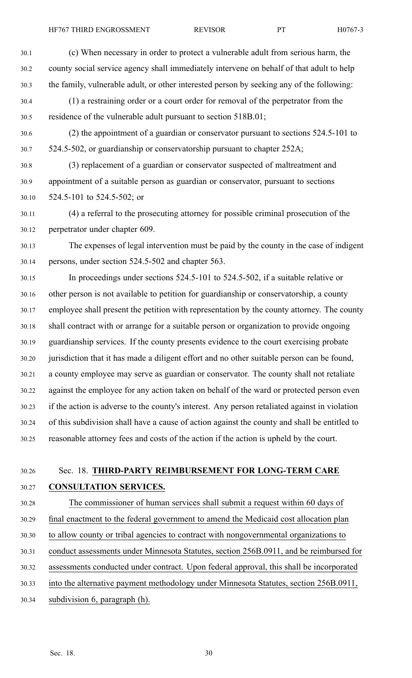30.1 (c) When necessary in order to protect <sup>a</sup> vulnerable adult from serious harm, the 30.2 county social service agency shall immediately intervene on behalf of that adult to help 30.3 the family, vulnerable adult, or other interested person by seeking any of the following: 30.4 (1) <sup>a</sup> restraining order or <sup>a</sup> court order for removal of the perpetrator from the 30.5 residence of the vulnerable adult pursuan<sup>t</sup> to section 518B.01; 30.6 (2) the appointment of <sup>a</sup> guardian or conservator pursuan<sup>t</sup> to sections 524.5-101 to 30.7 524.5-502, or guardianship or conservatorship pursuan<sup>t</sup> to chapter 252A; 30.8 (3) replacement of <sup>a</sup> guardian or conservator suspected of maltreatment and 30.9 appointment of <sup>a</sup> suitable person as guardian or conservator, pursuan<sup>t</sup> to sections 30.10 524.5-101 to 524.5-502; or 30.11 (4) <sup>a</sup> referral to the prosecuting attorney for possible criminal prosecution of the 30.12 perpetrator under chapter 609. 30.13 The expenses of legal intervention must be paid by the county in the case of indigent 30.14 persons, under section 524.5-502 and chapter 563. 30.15 In proceedings under sections 524.5-101 to 524.5-502, if <sup>a</sup> suitable relative or 30.16 other person is not available to petition for guardianship or conservatorship, <sup>a</sup> county 30.17 employee shall presen<sup>t</sup> the petition with representation by the county attorney. The county 30.18 shall contract with or arrange for <sup>a</sup> suitable person or organization to provide ongoing 30.19 guardianship services. If the county presents evidence to the court exercising probate 30.20 jurisdiction that it has made <sup>a</sup> diligent effort and no other suitable person can be found, 30.21 <sup>a</sup> county employee may serve as guardian or conservator. The county shall not retaliate 30.22 against the employee for any action taken on behalf of the ward or protected person even 30.23 if the action is adverse to the county's interest. Any person retaliated against in violation 30.24 of this subdivision shall have <sup>a</sup> cause of action against the county and shall be entitled to 30.25 reasonable attorney fees and costs of the action if the action is upheld by the court. 30.26 Sec. 18. **THIRD-PARTY REIMBURSEMENT FOR LONG-TERM CARE** 30.27 **CONSULTATION SERVICES.**

30.28 The commissioner of human services shall submit <sup>a</sup> reques<sup>t</sup> within 60 days of 30.29 final enactment to the federal governmen<sup>t</sup> to amend the Medicaid cost allocation plan 30.30 to allow county or tribal agencies to contract with nongovernmental organizations to 30.31 conduct assessments under Minnesota Statutes, section 256B.0911, and be reimbursed for 30.32 assessments conducted under contract. Upon federal approval, this shall be incorporated

30.33 into the alternative paymen<sup>t</sup> methodology under Minnesota Statutes, section 256B.0911,

30.34 subdivision 6, paragraph (h).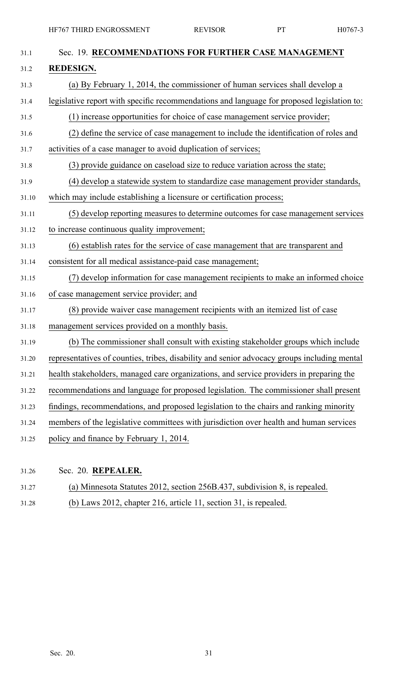| 31.1  | Sec. 19. RECOMMENDATIONS FOR FURTHER CASE MANAGEMENT                                        |
|-------|---------------------------------------------------------------------------------------------|
| 31.2  | <b>REDESIGN.</b>                                                                            |
| 31.3  | (a) By February 1, 2014, the commissioner of human services shall develop a                 |
| 31.4  | legislative report with specific recommendations and language for proposed legislation to:  |
| 31.5  | (1) increase opportunities for choice of case management service provider;                  |
| 31.6  | (2) define the service of case management to include the identification of roles and        |
| 31.7  | activities of a case manager to avoid duplication of services;                              |
| 31.8  | (3) provide guidance on caseload size to reduce variation across the state;                 |
| 31.9  | (4) develop a statewide system to standardize case management provider standards,           |
| 31.10 | which may include establishing a licensure or certification process;                        |
| 31.11 | (5) develop reporting measures to determine outcomes for case management services           |
| 31.12 | to increase continuous quality improvement;                                                 |
| 31.13 | (6) establish rates for the service of case management that are transparent and             |
| 31.14 | consistent for all medical assistance-paid case management;                                 |
| 31.15 | (7) develop information for case management recipients to make an informed choice           |
| 31.16 | of case management service provider; and                                                    |
| 31.17 | (8) provide waiver case management recipients with an itemized list of case                 |
| 31.18 | management services provided on a monthly basis.                                            |
| 31.19 | (b) The commissioner shall consult with existing stakeholder groups which include           |
| 31.20 | representatives of counties, tribes, disability and senior advocacy groups including mental |
| 31.21 | health stakeholders, managed care organizations, and service providers in preparing the     |
| 31.22 | recommendations and language for proposed legislation. The commissioner shall present       |
| 31.23 | findings, recommendations, and proposed legislation to the chairs and ranking minority      |
| 31.24 | members of the legislative committees with jurisdiction over health and human services      |
| 31.25 | policy and finance by February 1, 2014.                                                     |
|       |                                                                                             |

- 31.26 Sec. 20. **REPEALER.**
- 31.27 (a) Minnesota Statutes 2012, section 256B.437, subdivision 8, is repealed.
- 31.28 (b) Laws 2012, chapter 216, article 11, section 31, is repealed.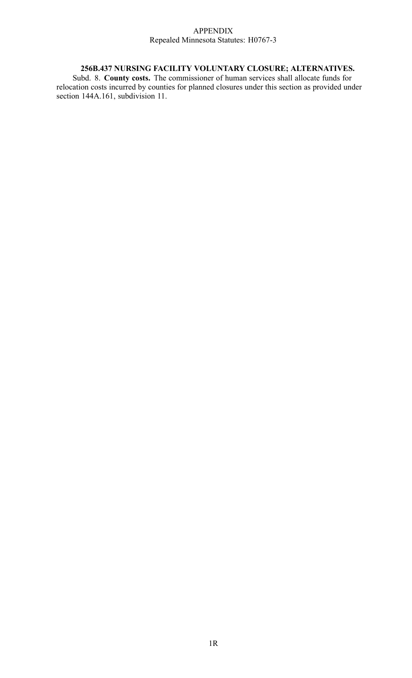### APPENDIX Repealed Minnesota Statutes: H0767-3

# **256B.437 NURSING FACILITY VOLUNTARY CLOSURE; ALTERNATIVES.**

Subd. 8. **County costs.** The commissioner of human services shall allocate funds for relocation costs incurred by counties for planned closures under this section as provided under section 144A.161, subdivision 11.